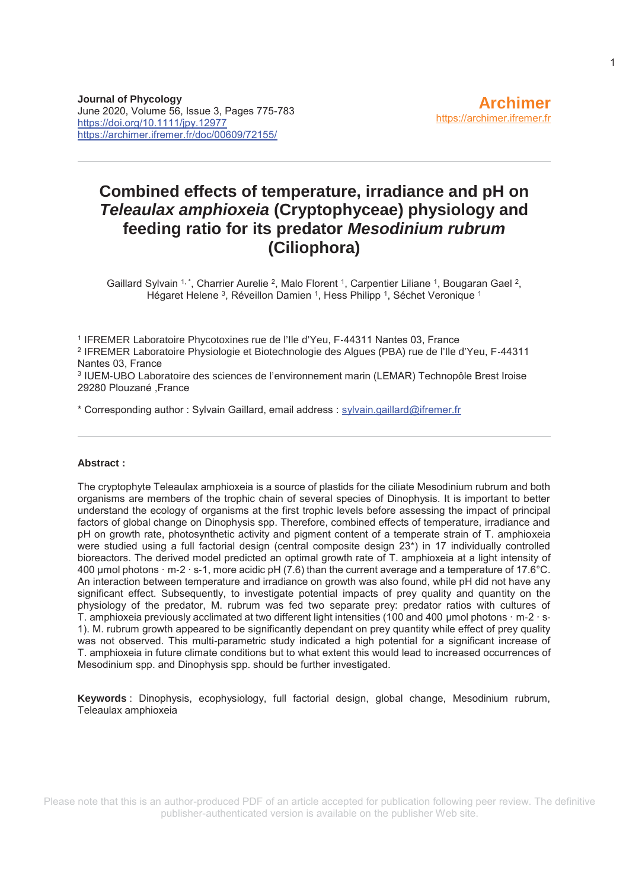# **Combined effects of temperature, irradiance and pH on**  *Teleaulax amphioxeia* **(Cryptophyceae) physiology and feeding ratio for its predator** *Mesodinium rubrum* **(Ciliophora)**

Gaillard Sylvain <sup>1, \*</sup>, Charrier Aurelie <sup>2</sup>, Malo Florent <sup>1</sup>, Carpentier Liliane <sup>1</sup>, Bougaran Gael <sup>2</sup>, Hégaret Helene <sup>3</sup>, Réveillon Damien <sup>1</sup>, Hess Philipp <sup>1</sup>, Séchet Veronique <sup>1</sup>

<sup>1</sup> IFREMER Laboratoire Phycotoxines rue de l'Ile d'Yeu, F-44311 Nantes 03, France <sup>2</sup> IFREMER Laboratoire Physiologie et Biotechnologie des Algues (PBA) rue de l'Ile d'Yeu, F-44311 Nantes 03, France

3 IUEM-UBO Laboratoire des sciences de l'environnement marin (LEMAR) Technopôle Brest Iroise 29280 Plouzané ,France

\* Corresponding author : Sylvain Gaillard, email address : sylvain.gaillard@ifremer.fr

#### **Abstract :**

The cryptophyte Teleaulax amphioxeia is a source of plastids for the ciliate Mesodinium rubrum and both organisms are members of the trophic chain of several species of Dinophysis. It is important to better understand the ecology of organisms at the first trophic levels before assessing the impact of principal factors of global change on Dinophysis spp. Therefore, combined effects of temperature, irradiance and pH on growth rate, photosynthetic activity and pigment content of a temperate strain of T. amphioxeia were studied using a full factorial design (central composite design 23\*) in 17 individually controlled bioreactors. The derived model predicted an optimal growth rate of T. amphioxeia at a light intensity of 400 μmol photons · m-2 · s-1, more acidic pH (7.6) than the current average and a temperature of 17.6°C. An interaction between temperature and irradiance on growth was also found, while pH did not have any significant effect. Subsequently, to investigate potential impacts of prey quality and quantity on the physiology of the predator, M. rubrum was fed two separate prey: predator ratios with cultures of T. amphioxeia previously acclimated at two different light intensities (100 and 400 μmol photons · m-2 · s-1). M. rubrum growth appeared to be significantly dependant on prey quantity while effect of prey quality was not observed. This multi-parametric study indicated a high potential for a significant increase of T. amphioxeia in future climate conditions but to what extent this would lead to increased occurrences of Mesodinium spp. and Dinophysis spp. should be further investigated.

**Keywords** : Dinophysis, ecophysiology, full factorial design, global change, Mesodinium rubrum, Teleaulax amphioxeia

Please note that this is an author-produced PDF of an article accepted for publication following peer review. The definitive publisher-authenticated version is available on the publisher Web site.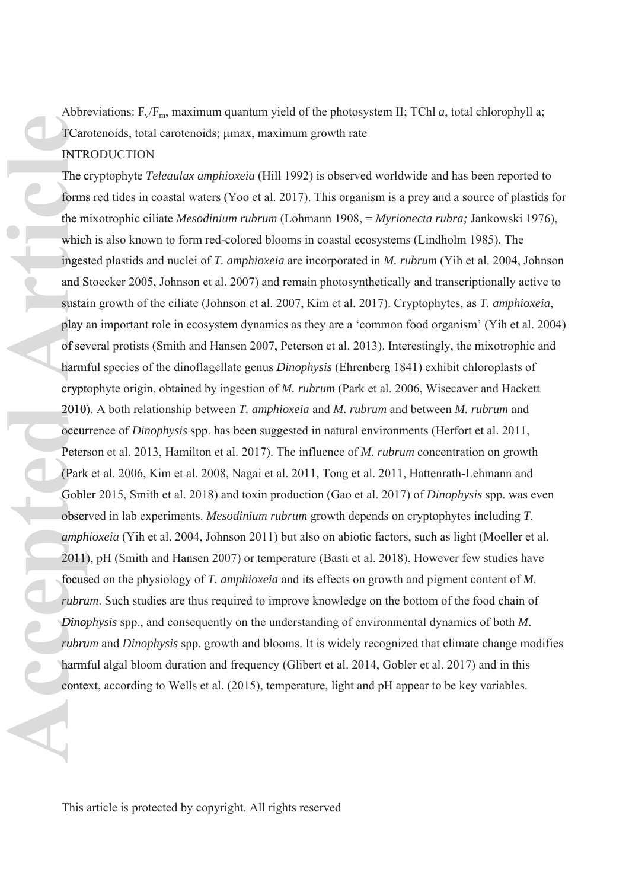Abbreviations:  $F_v/F_m$ , maximum quantum yield of the photosystem II; TChl *a*, total chlorophyll a; TCarotenoids, total carotenoids; μmax, maximum growth rate TCaro **INTRODUCTION** 

The cryptophyte *Teleaulax amphioxeia* (Hill 1992) is observed worldwide and has been reported to forms red tides in coastal waters (Yoo et al. 2017). This organism is a prey and a source of plastids for forms the mixotrophic ciliate *Mesodinium rubrum* (Lohmann 1908, = *Myrionecta rubra; Jankowski* 1976), which is also known to form red-colored blooms in coastal ecosystems (Lindholm 1985). The ingested plastids and nuclei of *T. amphioxeia* are incorporated in *M. rubrum* (Yih et al. 2004, Johnson inges and Stoecker 2005, Johnson et al. 2007) and remain photosynthetically and transcriptionally active to S sustain growth of the ciliate (Johnson et al. 2007, Kim et al. 2017). Cryptophytes, as *T. amphioxeia*, play an important role in ecosystem dynamics as they are a 'common food organism' (Yih et al. 2004) of several protists (Smith and Hansen 2007, Peterson et al. 2013). Interestingly, the mixotrophic and harmful species of the dinoflagellate genus *Dinophysis* (Ehrenberg 1841) exhibit chloroplasts of harmf cryptophyte origin, obtained by ingestion of *M. rubrum* (Park et al. 2006, Wisecaver and Hackett 2010). A both relationship between *T. amphioxeia* and *M. rubrum* and between *M. rubrum* and 2010) occurrence of *Dinophysis* spp. has been suggested in natural environments (Herfort et al. 2011, Peterson et al. 2013, Hamilton et al. 2017). The influence of *M. rubrum* concentration on growth (Park et al. 2006, Kim et al. 2008, Nagai et al. 2011, Tong et al. 2011, Hattenrath-Lehmann and (Park Gobler 2015, Smith et al. 2018) and toxin production (Gao et al. 2017) of *Dinophysis* spp. was even observed in lab experiments. *Mesodinium rubrum* growth depends on cryptophytes including *T.*  obser *amphioxeia* (Yih et al. 2004, Johnson 2011) but also on abiotic factors, such as light (Moeller et al. *amph* 2011), pH (Smith and Hansen 2007) or temperature (Basti et al. 2018). However few studies have 2011) focused on the physiology of *T. amphioxeia* and its effects on growth and pigment content of *M.*  focus *rubrum*. Such studies are thus required to improve knowledge on the bottom of the food chain of *rubru Dinophysis* spp., and consequently on the understanding of environmental dynamics of both *M*. *Dinop rubrum* and *Dinophysis* spp. growth and blooms. It is widely recognized that climate change modifies *rubru* harmful algal bloom duration and frequency (Glibert et al. 2014, Gobler et al. 2017) and in this harmf Abbreviations, F./F., accosiment quentum yield of the photosystem II, TChl *a*<sub>1</sub>, total chloophy!<br> **IVATRODUCTION**<br>
TRIRODUCTION<br>
TRIRODUCTION<br>
TRIRODUCTION<br>
TRIRODUCTION<br>
TRIRODUCTION<br>
TRIRODUCTION<br>
TRIRODUCTION<br>
TRIRODU context, according to Wells et al. (2015), temperature, light and pH appear to be key variables.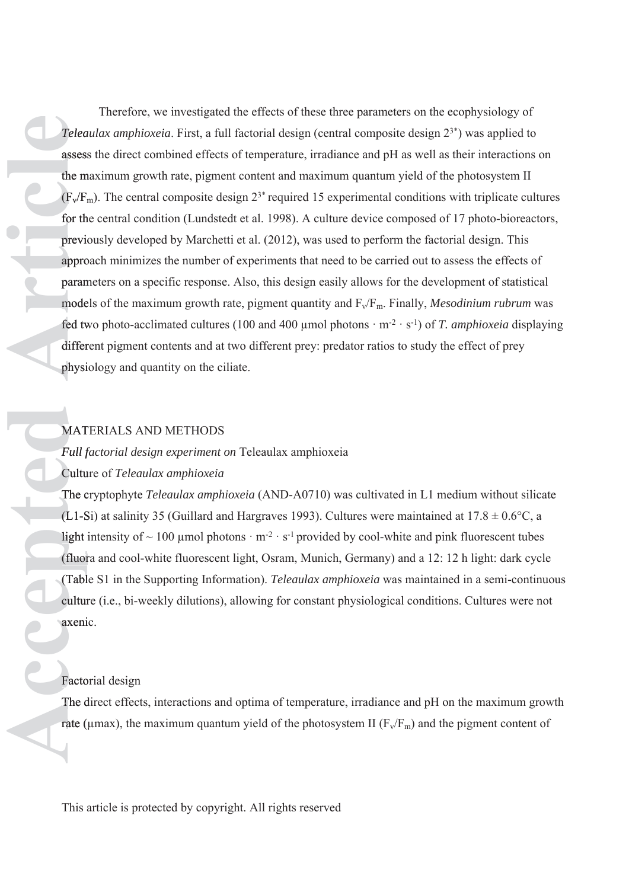Therefore, we investigated the effects of these three parameters on the ecophysiology of *Teleaulax amphioxeia*. First, a full factorial design (central composite design 23\*) was applied to assess the direct combined effects of temperature, irradiance and pH as well as their interactions on assess the maximum growth rate, pigment content and maximum quantum yield of the photosystem II m  $(F_v/F_m)$ . The central composite design  $2^{3*}$  required 15 experimental conditions with triplicate cultures for the central condition (Lundstedt et al. 1998). A culture device composed of 17 photo-bioreactors, previously developed by Marchetti et al. (2012), was used to perform the factorial design. This previo approach minimizes the number of experiments that need to be carried out to assess the effects of appro parameters on a specific response. Also, this design easily allows for the development of statistical param models of the maximum growth rate, pigment quantity and  $F_v/F_m$ . Finally, *Mesodinium rubrum* was fed two photo-acclimated cultures (100 and 400 µmol photons  $\cdot$  m<sup>-2</sup>  $\cdot$  s<sup>-1</sup>) of *T. amphioxeia* displaying different pigment contents and at two different prey: predator ratios to study the effect of prey physiology and quantity on the ciliate. physi *Teleandax omphotonia* First, a full factorial design (central composite design 2>) was applied to<br>suscess the direct conbined effects of ferroretative, irrediances and pH as well as their interactions of<br>the maximum grow

# MATERIALS AND METHODS MAT

# *Full factorial design experiment on* Teleaulax amphioxeia *Fullf*

# Culture of *Teleaulax amphioxeia* Cultu

The cryptophyte *Teleaulax amphioxeia* (AND-A0710) was cultivated in L1 medium without silicate (L1-Si) at salinity 35 (Guillard and Hargraves 1993). Cultures were maintained at  $17.8 \pm 0.6$ °C, a light intensity of  $\sim$  100 µmol photons  $\cdot$  m<sup>-2</sup>  $\cdot$  s<sup>-1</sup> provided by cool-white and pink fluorescent tubes (fluora and cool-white fluorescent light, Osram, Munich, Germany) and a 12: 12 h light: dark cycle (fluor (Table S1 in the Supporting Information). *Teleaulax amphioxeia* was maintained in a semi-continuous (Tabl culture (i.e., bi-weekly dilutions), allowing for constant physiological conditions. Cultures were not axenic. axeni

#### Factorial design Facto

The direct effects, interactions and optima of temperature, irradiance and pH on the maximum growth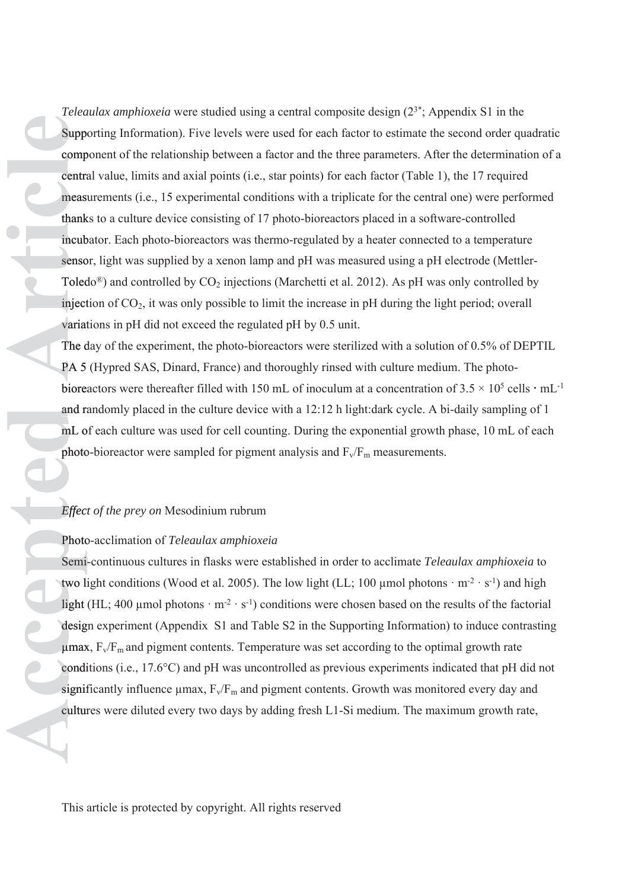*Teleaulax amphioxeia* were studied using a central composite design (23\*; Appendix S1 in the Supporting Information). Five levels were used for each factor to estimate the second order quadratic Suppo component of the relationship between a factor and the three parameters. After the determination of a comp central value, limits and axial points (i.e., star points) for each factor (Table 1), the 17 required measurements (i.e., 15 experimental conditions with a triplicate for the central one) were performed thanks to a culture device consisting of 17 photo-bioreactors placed in a software-controlled thank incubator. Each photo-bioreactors was thermo-regulated by a heater connected to a temperature incub sensor, light was supplied by a xenon lamp and pH was measured using a pH electrode (Mettler-Toledo<sup>®</sup>) and controlled by  $CO_2$  injections (Marchetti et al. 2012). As pH was only controlled by injection of CO<sub>2</sub>, it was only possible to limit the increase in pH during the light period; overall variations in pH did not exceed the regulated pH by 0.5 unit. *Felonion tophioselia* were statisted cuising a cuttof) correlation and the maximum composite lessing  $\times$ <sup>2</sup>. Appendix as B in the maximum growth of the relationship between a factor and the three parameters. After the d

The day of the experiment, the photo-bioreactors were sterilized with a solution of 0.5% of DEPTIL PA 5 (Hypred SAS, Dinard, France) and thoroughly rinsed with culture medium. The photobioreactors were thereafter filled with 150 mL of inoculum at a concentration of  $3.5 \times 10^5$  cells  $\cdot$  mL<sup>-1</sup> and randomly placed in the culture device with a 12:12 h light:dark cycle. A bi-daily sampling of 1 mL of each culture was used for cell counting. During the exponential growth phase, 10 mL of each photo-bioreactor were sampled for pigment analysis and  $F_v/F_m$  measurements.

# *Effect of the prey on* Mesodinium rubrum *Effect*

# Photo-acclimation of *Teleaulax amphioxeia* Photo

Semi-continuous cultures in flasks were established in order to acclimate *Teleaulax amphioxeia* to Semitwo light conditions (Wood et al. 2005). The low light (LL; 100 µmol photons  $\cdot$  m<sup>-2</sup>  $\cdot$  s<sup>-1</sup>) and high light (HL; 400 µmol photons  $\cdot$  m<sup>-2</sup>  $\cdot$  s<sup>-1</sup>) conditions were chosen based on the results of the factorial design experiment (Appendix S1 and Table S2 in the Supporting Information) to induce contrasting desig  $\mu$ max,  $F_v/F_m$  and pigment contents. Temperature was set according to the optimal growth rate conditions (i.e., 17.6°C) and pH was uncontrolled as previous experiments indicated that pH did not significantly influence  $\mu$ max,  $F_v/F_m$  and pigment contents. Growth was monitored every day and cultures were diluted every two days by adding fresh L1-Si medium. The maximum growth rate,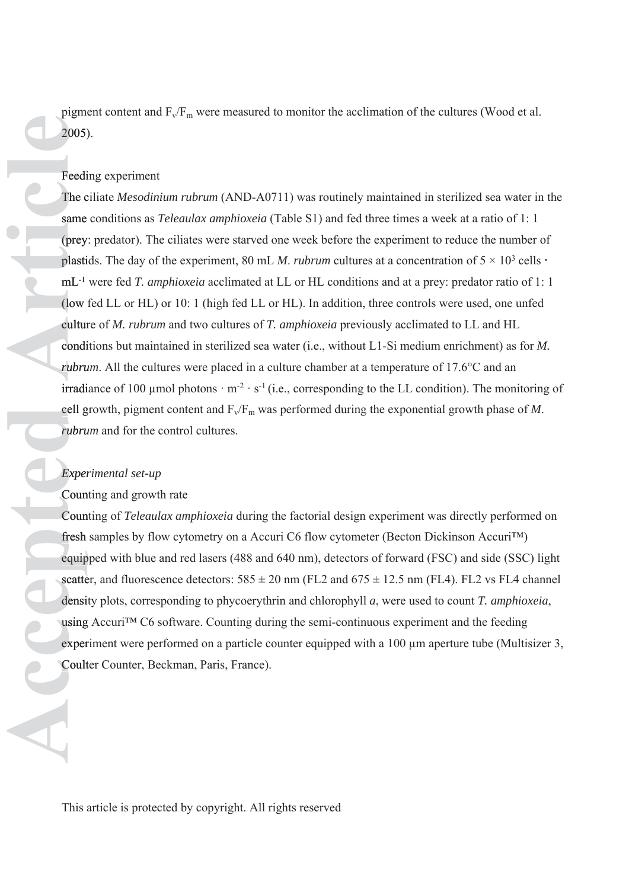pigment content and  $F_v/F_m$  were measured to monitor the acclimation of the cultures (Wood et al. 2005). 2005)

#### Feeding experiment

The ciliate *Mesodinium rubrum* (AND-A0711) was routinely maintained in sterilized sea water in the same conditions as *Teleaulax amphioxeia* (Table S1) and fed three times a week at a ratio of 1:1 (prey: predator). The ciliates were starved one week before the experiment to reduce the number of (prey plastids. The day of the experiment, 80 mL *M. rubrum* cultures at a concentration of  $5 \times 10^3$  cells  $\cdot$ mL<sup>-1</sup> were fed *T. amphioxeia* acclimated at LL or HL conditions and at a prey: predator ratio of 1:1 (low fed LL or HL) or 10: 1 (high fed LL or HL). In addition, three controls were used, one unfed culture of *M. rubrum* and two cultures of *T. amphioxeia* previously acclimated to LL and HL conditions but maintained in sterilized sea water (i.e., without L1-Si medium enrichment) as for *M.*  condi *rubrum*. All the cultures were placed in a culture chamber at a temperature of 17.6°C and an irradiance of 100 µmol photons  $\cdot$  m<sup>-2</sup>  $\cdot$  s<sup>-1</sup> (i.e., corresponding to the LL condition). The monitoring of cell growth, pigment content and  $F_v/F_m$  was performed during the exponential growth phase of M. *rubrum* and for the control cultures. *rubru* pigment content and  $F_v/F_m$  were measured<br>2005).<br>
Freeding experiment<br>
The ciliate Mesodinium rubrum (AND-A0<br>
same conditions as *Teleaulax amphioxeia*<br>
(prey: predator). The cliates were starved<br>
plastids. The day of the

#### *Experimental set-up Exper*

#### Counting and growth rate Coun

Counting of *Teleaulax amphioxeia* during the factorial design experiment was directly performed on Coun fresh samples by flow cytometry on a Accuri C6 flow cytometer (Becton Dickinson Accuri™) equipped with blue and red lasers (488 and 640 nm), detectors of forward (FSC) and side (SSC) light scatter, and fluorescence detectors:  $585 \pm 20$  nm (FL2 and  $675 \pm 12.5$  nm (FL4). FL2 vs FL4 channel density plots, corresponding to phycoerythrin and chlorophyll *a*, were used to count *T. amphioxeia*, using Accuri™ C6 software. Counting during the semi-continuous experiment and the feeding experiment were performed on a particle counter equipped with a 100 μm aperture tube (Multisizer 3, Coulter Counter, Beckman, Paris, France).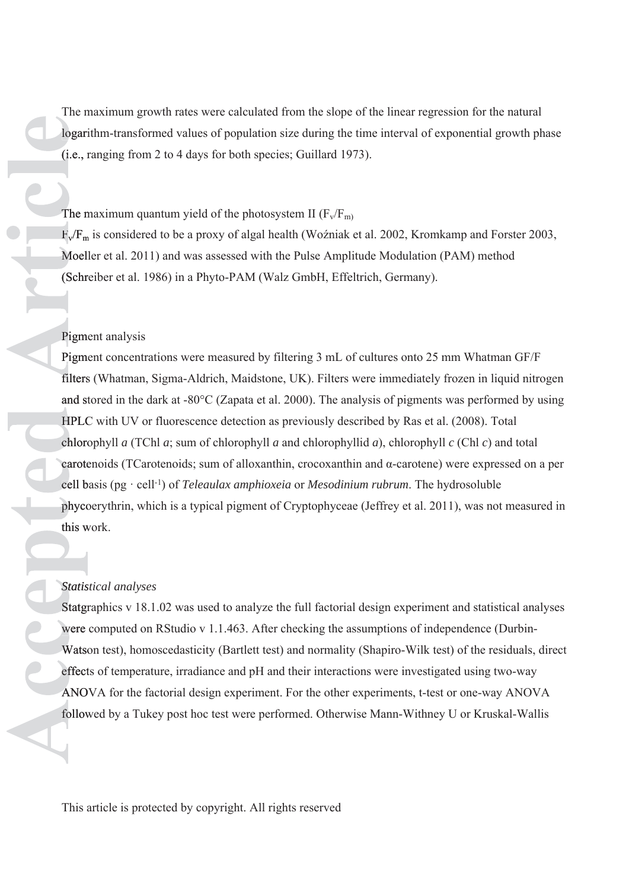The maximum growth rates were calculated from the slope of the linear regression for the natural logarithm-transformed values of population size during the time interval of exponential growth phase (i.e., ranging from 2 to 4 days for both species; Guillard 1973). (i.e.,r

The maximum quantum yield of the photosystem II  $(F_v/F_m)$ 

 $F_v/F_m$  is considered to be a proxy of algal health (Woźniak et al. 2002, Kromkamp and Forster 2003, Moeller et al. 2011) and was assessed with the Pulse Amplitude Modulation (PAM) method (Schreiber et al. 1986) in a Phyto-PAM (Walz GmbH, Effeltrich, Germany). (Schr

#### Pigment analysis Pigm

Pigment concentrations were measured by filtering 3 mL of cultures onto 25 mm Whatman GF/F filters (Whatman, Sigma-Aldrich, Maidstone, UK). Filters were immediately frozen in liquid nitrogen filters and stored in the dark at  $-80^{\circ}$ C (Zapata et al. 2000). The analysis of pigments was performed by using HPLC with UV or fluorescence detection as previously described by Ras et al. (2008). Total HPLC chlorophyll  $a$  (TChl  $a$ ; sum of chlorophyll  $a$  and chlorophyllid  $a$ ), chlorophyll  $c$  (Chl  $c$ ) and total carotenoids (TCarotenoids; sum of alloxanthin, crocoxanthin and α-carotene) were expressed on a per carote cell basis (pg · cell-1) of *Teleaulax amphioxeia* or *Mesodinium rubrum*. The hydrosoluble b phycoerythrin, which is a typical pigment of Cryptophyceae (Jeffrey et al. 2011), was not measured in phyco this work.

### *Statistical analyses Statis*

Statgraphics v 18.1.02 was used to analyze the full factorial design experiment and statistical analyses Statgr were computed on RStudio v 1.1.463. After checking the assumptions of independence (Durbin-Watson test), homoscedasticity (Bartlett test) and normality (Shapiro-Wilk test) of the residuals, direct Watso effects of temperature, irradiance and pH and their interactions were investigated using two-way effect ANOVA for the factorial design experiment. For the other experiments, t-test or one-way ANOVA ANO followed by a Tukey post hoc test were performed. Otherwise Mann-Withney U or Kruskal-Wallis follow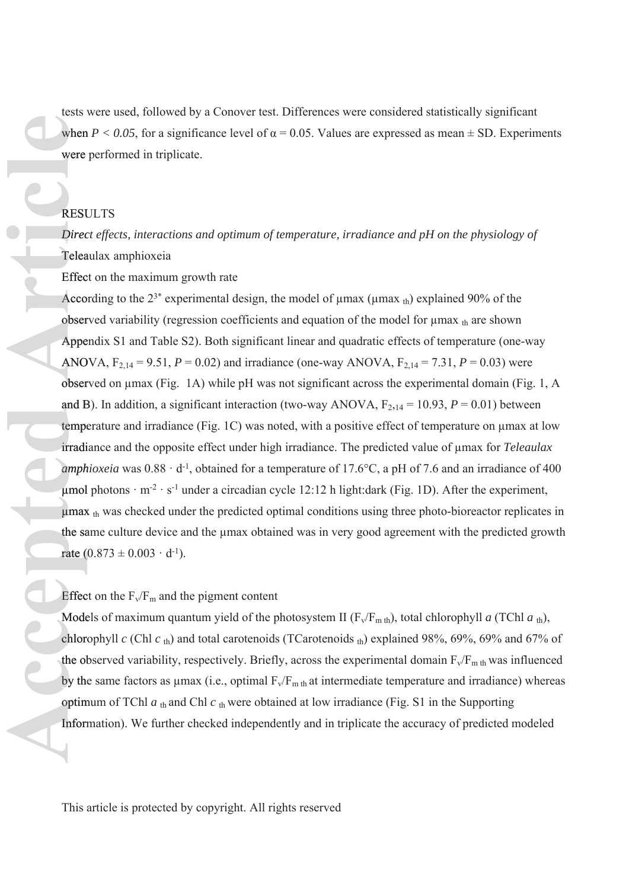tests were used, followed by a Conover test. Differences were considered statistically significant when  $P < 0.05$ , for a significance level of  $\alpha = 0.05$ . Values are expressed as mean  $\pm$  SD. Experiments were performed in triplicate. were

#### RESULTS RESU

*Direct effects, interactions and optimum of temperature, irradiance and pH on the physiology of Direc* Teleaulax amphioxeia Telea

Effect on the maximum growth rate Effec

According to the  $2^{3*}$  experimental design, the model of  $\mu$ max ( $\mu$ max th) explained 90% of the observed variability (regression coefficients and equation of the model for  $\mu$ max  $_{\text{th}}$  are shown Appendix S1 and Table S2). Both significant linear and quadratic effects of temperature (one-way Appe ANOVA,  $F_{2,14} = 9.51$ ,  $P = 0.02$ ) and irradiance (one-way ANOVA,  $F_{2,14} = 7.31$ ,  $P = 0.03$ ) were observed on μmax (Fig. 1A) while pH was not significant across the experimental domain (Fig. 1, A and B). In addition, a significant interaction (two-way ANOVA,  $F_{2,14} = 10.93$ ,  $P = 0.01$ ) between temperature and irradiance (Fig. 1C) was noted, with a positive effect of temperature on μmax at low irradiance and the opposite effect under high irradiance. The predicted value of μmax for *Teleaulax*  irradi *amphioxeia* was  $0.88 \cdot d^{-1}$ , obtained for a temperature of 17.6°C, a pH of 7.6 and an irradiance of 400 μmol photons  $\cdot$  m<sup>-2</sup>  $\cdot$  s<sup>-1</sup> under a circadian cycle 12:12 h light:dark (Fig. 1D). After the experiment,  $\mu$ max  $_{\text{th}}$  was checked under the predicted optimal conditions using three photo-bioreactor replicates in the same culture device and the μmax obtained was in very good agreement with the predicted growth sa rate  $(0.873 \pm 0.003 \cdot d^{-1})$ . **IESN were used, followed by a Convert lest.** Differences were considered statistically significant<br>were performed in triplicate.<br>
We further consistent the base of the accepted are expressed as mean 4 SD. Experiment<br>
wer

Effect on the  $F_v/F_m$  and the pigment content

Models of maximum quantum yield of the photosystem II  $(F_v/F_{m th})$ , total chlorophyll *a* (TChl *a*<sub>th</sub>), chlorophyll  $c$  (Chl  $c$ <sub>th</sub>) and total carotenoids (TCarotenoids <sub>th</sub>) explained 98%, 69%, 69% and 67% of the observed variability, respectively. Briefly, across the experimental domain  $F_v/F_{m\text{ th}}$  was influenced by the same factors as  $\mu$ max (i.e., optimal  $F_v/F_{m\,th}$  at intermediate temperature and irradiance) whereas optimum of TChl  $a_{th}$  and Chl  $c_{th}$  were obtained at low irradiance (Fig. S1 in the Supporting Information). We further checked independently and in triplicate the accuracy of predicted modeled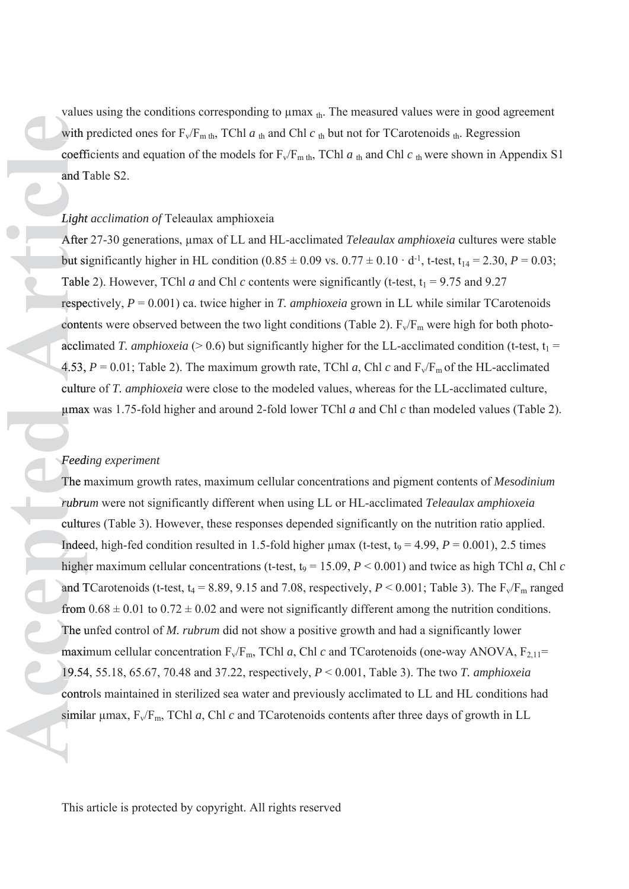values using the conditions corresponding to μmax th. The measured values were in good agreement with predicted ones for  $F_v/F_{m \, th}$ , TChl  $a_{th}$  and Chl  $c_{th}$  but not for TCarotenoids  $_{th}$ . Regression coefficients and equation of the models for  $F_v/F_{m \, th}$ , TChl  $a_{th}$  and Chl  $c_{th}$  were shown in Appendix S1 and Table S2.

#### *Light acclimation of* Teleaulax amphioxeia *Light*

After 27-30 generations, μmax of LL and HL-acclimated *Teleaulax amphioxeia* cultures were stable After but significantly higher in HL condition  $(0.85 \pm 0.09 \text{ vs. } 0.77 \pm 0.10 \cdot \text{ d}^{-1})$ , t-test,  $t_{14} = 2.30$ ,  $P = 0.03$ ; Table 2). However, TChl *a* and Chl *c* contents were significantly (t-test,  $t_1 = 9.75$  and 9.27 respectively,  $P = 0.001$ ) ca. twice higher in *T. amphioxeia* grown in LL while similar TCarotenoids contents were observed between the two light conditions (Table 2).  $F_v/F_m$  were high for both photoacclimated *T. amphioxeia* ( $> 0.6$ ) but significantly higher for the LL-acclimated condition (t-test,  $t_1 =$ 4.53,  $P = 0.01$ ; Table 2). The maximum growth rate, TChl *a*, Chl *c* and  $F_v/F_m$  of the HL-acclimated culture of *T. amphioxeia* were close to the modeled values, whereas for the LL-acclimated culture, μmax was 1.75-fold higher and around 2-fold lower TChl *a* and Chl *c* than modeled values (Table 2). max

# *Feeding experiment Feedi*

The maximum growth rates, maximum cellular concentrations and pigment contents of *Mesodinium rubrum* were not significantly different when using LL or HL-acclimated *Teleaulax amphioxeia rubru* cultures (Table 3). However, these responses depended significantly on the nutrition ratio applied. Indeed, high-fed condition resulted in 1.5-fold higher  $\mu$ max (t-test, t<sub>9</sub> = 4.99, *P* = 0.001), 2.5 times higher maximum cellular concentrations (t-test,  $t_9 = 15.09$ ,  $P < 0.001$ ) and twice as high TChl *a*, Chl *c* and TCarotenoids (t-test,  $t_4 = 8.89, 9.15$  and 7.08, respectively,  $P \le 0.001$ ; Table 3). The  $F_v/F_m$  ranged from  $0.68 \pm 0.01$  to  $0.72 \pm 0.02$  and were not significantly different among the nutrition conditions. The unfed control of *M. rubrum* did not show a positive growth and had a significantly lower maximum cellular concentration  $F_v/F_m$ , TChl *a*, Chl *c* and TCarotenoids (one-way ANOVA,  $F_{2,11}$ = 19.54, 55.18, 65.67, 70.48 and 37.22, respectively, *P* < 0.001, Table 3). The two *T. amphioxeia* 19.54 controls maintained in sterilized sea water and previously acclimated to LL and HL conditions had value to essimilar entropy conding to purax, **a**. The measured values were in good agreems or the function contents and equation of the models for  $\Gamma_1/\Gamma_{m,n}$ . TChl *a*, e-mid Chl *c*, were shown in Appendix to the funct similar  $\mu$ max,  $F_v/F_m$ , TChl a, Chl c and TCarotenoids contents after three days of growth in LL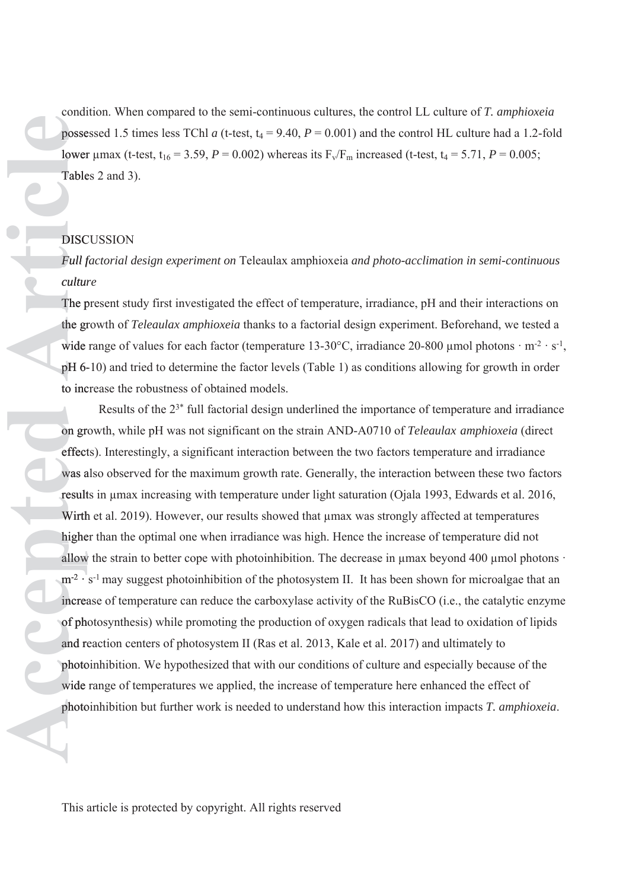condition. When compared to the semi-continuous cultures, the control LL culture of *T. amphioxeia*  possessed 1.5 times less TChl *a* (t-test,  $t_4 = 9.40$ ,  $P = 0.001$ ) and the control HL culture had a 1.2-fold lower μmax (t-test, t<sub>16</sub> = 3.59, *P* = 0.002) whereas its  $F_v/F_m$  increased (t-test, t<sub>4</sub> = 5.71, *P* = 0.005; Tables 2 and 3). Table

# **DISCUSSION**

*Full factorial design experiment on* Teleaulax amphioxeia *and photo-acclimation in semi-continuous Fullf culture cultur*

The present study first investigated the effect of temperature, irradiance, pH and their interactions on the growth of *Teleaulax amphioxeia* thanks to a factorial design experiment. Beforehand, we tested a gr wide range of values for each factor (temperature 13-30°C, irradiance 20-800 µmol photons  $\cdot$  m<sup>-2</sup>  $\cdot$  s<sup>-1</sup>, pH 6-10) and tried to determine the factor levels (Table 1) as conditions allowing for growth in order 6 to increase the robustness of obtained models.

Results of the 23\* full factorial design underlined the importance of temperature and irradiance on growth, while pH was not significant on the strain AND-A0710 of *Teleaulax amphioxeia* (direct gr effects). Interestingly, a significant interaction between the two factors temperature and irradiance effect was also observed for the maximum growth rate. Generally, the interaction between these two factors wasa results in μmax increasing with temperature under light saturation (Ojala 1993, Edwards et al. 2016, result Wirth et al. 2019). However, our results showed that  $\mu$ max was strongly affected at temperatures higher than the optimal one when irradiance was high. Hence the increase of temperature did not allow the strain to better cope with photoinhibition. The decrease in μmax beyond 400 μmol photons · allow  $m<sup>2</sup>$  · s<sup>-1</sup> may suggest photoinhibition of the photosystem II. It has been shown for microalgae that an increase of temperature can reduce the carboxylase activity of the RuBisCO (i.e., the catalytic enzyme increa of photosynthesis) while promoting the production of oxygen radicals that lead to oxidation of lipids ph and reaction centers of photosystem II (Ras et al. 2013, Kale et al. 2017) and ultimately to photoinhibition. We hypothesized that with our conditions of culture and especially because of the photo wide range of temperatures we applied, the increase of temperature here enhanced the effect of condition When compared to be senic continuous estimates the control LL colume of *T. amphiornia*<br>photospace 1.5 times less TCal at (i-etsi, i<sub>1</sub> – 9.40,  $P$  – 0.00) and the control ILL culture hold 1.2-fold<br>lower juma. ( photoinhibition but further work is needed to understand how this interaction impacts  $T$ . amphioxeia.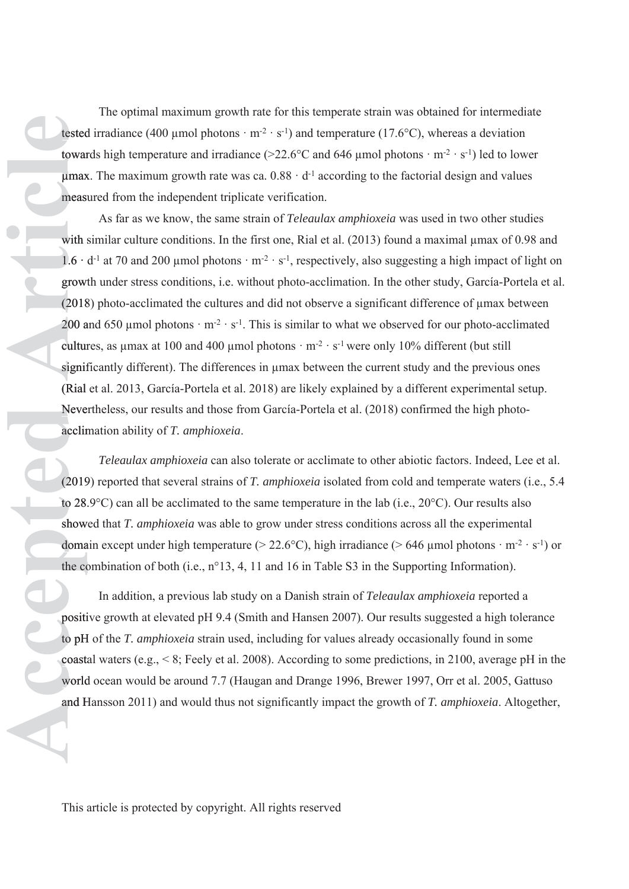The optimal maximum growth rate for this temperate strain was obtained for intermediate tested irradiance (400 µmol photons  $\cdot$  m<sup>-2</sup>  $\cdot$  s<sup>-1</sup>) and temperature (17.6°C), whereas a deviation towards high temperature and irradiance ( $>22.6$ °C and 646 µmol photons · m<sup>-2</sup> · s<sup>-1</sup>) led to lower  $\mu$ max. The maximum growth rate was ca.  $0.88 \cdot d^{-1}$  according to the factorial design and values measured from the independent triplicate verification. measu

As far as we know, the same strain of *Teleaulax amphioxeia* was used in two other studies with similar culture conditions. In the first one, Rial et al.  $(2013)$  found a maximal  $\mu$ max of 0.98 and  $1.6 \cdot d^{-1}$  at 70 and 200 µmol photons  $\cdot m^{-2} \cdot s^{-1}$ , respectively, also suggesting a high impact of light on growth under stress conditions, i.e. without photo-acclimation. In the other study, García-Portela et al. growt (2018) photo-acclimated the cultures and did not observe a significant difference of μmax between (2018 200 and 650 µmol photons  $\cdot$  m<sup>-2</sup>  $\cdot$  s<sup>-1</sup>. This is similar to what we observed for our photo-acclimated cultures, as umax at 100 and 400 µmol photons  $\cdot$  m<sup>-2</sup>  $\cdot$  s<sup>-1</sup> were only 10% different (but still significantly different). The differences in μmax between the current study and the previous ones signif (Rial et al. 2013, García-Portela et al. 2018) are likely explained by a different experimental setup. Nevertheless, our results and those from García-Portela et al. (2018) confirmed the high photo-Neve acclimation ability of *T. amphioxeia*. and Hansson 2010 and photons  $\cdot$  m<sup>2</sup>  $\cdot$  s<sup>21</sup>) and temperature (17.6°C), whereas a deviation (ovared bigit temperature and incidiancy  $C_2$ 2.6°C and 646 pion) photons  $m^2 \cdot s^2$ ) belo lower powers. The measurem growth

*Teleaulax amphioxeia* can also tolerate or acclimate to other abiotic factors. Indeed, Lee et al. (2019) reported that several strains of *T. amphioxeia* isolated from cold and temperate waters (i.e., 5.4 (2019 to 28.9 $^{\circ}$ C) can all be acclimated to the same temperature in the lab (i.e., 20 $^{\circ}$ C). Our results also showed that *T. amphioxeia* was able to grow under stress conditions across all the experimental domain except under high temperature ( $> 22.6$ °C), high irradiance ( $> 646$  µmol photons · m<sup>-2</sup> · s<sup>-1</sup>) or the combination of both (i.e.,  $n^{\circ}13$ , 4, 11 and 16 in Table S3 in the Supporting Information).

In addition, a previous lab study on a Danish strain of *Teleaulax amphioxeia* reported a positive growth at elevated pH 9.4 (Smith and Hansen 2007). Our results suggested a high tolerance positi to pH of the *T. amphioxeia* strain used, including for values already occasionally found in some pH coastal waters (e.g.,  $< 8$ ; Feely et al. 2008). According to some predictions, in 2100, average pH in the world ocean would be around 7.7 (Haugan and Drange 1996, Brewer 1997, Orr et al. 2005, Gattuso world and Hansson  $2011$ ) and would thus not significantly impact the growth of T. *amphioxeia*. Altogether,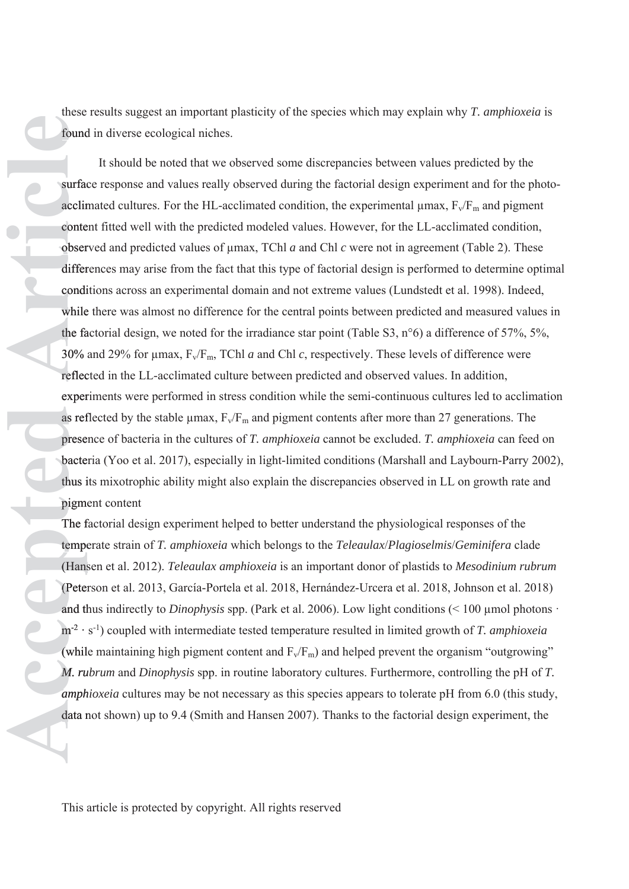these results suggest an important plasticity of the species which may explain why *T. amphioxeia* is found in diverse ecological niches. found

It should be noted that we observed some discrepancies between values predicted by the surface response and values really observed during the factorial design experiment and for the photoacclimated cultures. For the HL-acclimated condition, the experimental  $\mu$ max,  $F_v/F_m$  and pigment content fitted well with the predicted modeled values. However, for the LL-acclimated condition, observed and predicted values of μmax, TChl *a* and Chl *c* were not in agreement (Table 2). These obser differences may arise from the fact that this type of factorial design is performed to determine optimal conditions across an experimental domain and not extreme values (Lundstedt et al. 1998). Indeed, while there was almost no difference for the central points between predicted and measured values in the factorial design, we noted for the irradiance star point (Table S3,  $n^{\circ}6$ ) a difference of 57%, 5%, 30% and 29% for μmax, Fv/Fm, TChl *a* and Chl *c*, respectively. These levels of difference were reflected in the LL-acclimated culture between predicted and observed values. In addition, experiments were performed in stress condition while the semi-continuous cultures led to acclimation as reflected by the stable  $\mu$ max,  $F_v/F_m$  and pigment contents after more than 27 generations. The presence of bacteria in the cultures of *T. amphioxeia* cannot be excluded. *T. amphioxeia* can feed on prese bacteria (Yoo et al. 2017), especially in light-limited conditions (Marshall and Laybourn-Parry 2002), bacte thus its mixotrophic ability might also explain the discrepancies observed in LL on growth rate and i pigment content pigme does results are electronic photoical in the species which may explain why *T. complionedi* is<br> **Anomi al viewe reduced uniterally observed darm disterpancies between values predicted by the<br>
strained cultures For the H<sub>an**</sub>

The factorial design experiment helped to better understand the physiological responses of the f temperate strain of *T. amphioxeia* which belongs to the *Teleaulax*/*Plagioselmis*/*Geminifera* clade tempe (Hansen et al. 2012). *Teleaulax amphioxeia* is an important donor of plastids to *Mesodinium rubrum*  (Hans (Peterson et al. 2013, García-Portela et al. 2018, Hernández-Urcera et al. 2018, Johnson et al. 2018) (Peter and thus indirectly to *Dinophysis* spp. (Park et al. 2006). Low light conditions (< 100 μmol photons · th m<sup>-2</sup> · s<sup>-1</sup>) coupled with intermediate tested temperature resulted in limited growth of *T. amphioxeia* (while maintaining high pigment content and  $F_v/F_m$ ) and helped prevent the organism "outgrowing" *M. rubrum* and *Dinophysis* spp. in routine laboratory cultures. Furthermore, controlling the pH of *T. ru amphioxeia* cultures may be not necessary as this species appears to tolerate pH from 6.0 (this study, *amph* data not shown) up to 9.4 (Smith and Hansen 2007). Thanks to the factorial design experiment, the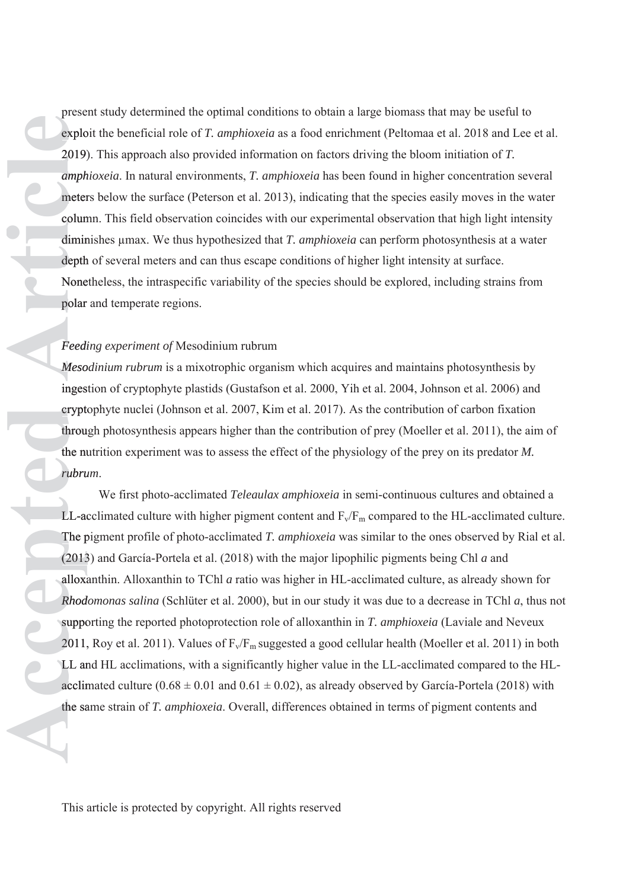present study determined the optimal conditions to obtain a large biomass that may be useful to exploit the beneficial role of *T. amphioxeia* as a food enrichment (Peltomaa et al. 2018 and Lee et al. 2019). This approach also provided information on factors driving the bloom initiation of *T.*  2019) *amphioxeia*. In natural environments, *T. amphioxeia* has been found in higher concentration several *amph* meters below the surface (Peterson et al. 2013), indicating that the species easily moves in the water column. This field observation coincides with our experimental observation that high light intensity colum diminishes μmax. We thus hypothesized that *T. amphioxeia* can perform photosynthesis at a water dimin depth of several meters and can thus escape conditions of higher light intensity at surface. Nonetheless, the intraspecific variability of the species should be explored, including strains from None polar and temperate regions. polar

# *Feeding experiment of* Mesodinium rubrum *Feedi*

*Mesodinium rubrum* is a mixotrophic organism which acquires and maintains photosynthesis by *Meso* ingestion of cryptophyte plastids (Gustafson et al. 2000, Yih et al. 2004, Johnson et al. 2006) and inges cryptophyte nuclei (Johnson et al. 2007, Kim et al. 2017). As the contribution of carbon fixation crypto through photosynthesis appears higher than the contribution of prey (Moeller et al. 2011), the aim of throu the nutrition experiment was to assess the effect of the physiology of the prey on its predator *M.*  nu *rubrum*. *rubru*

We first photo-acclimated *Teleaulax amphioxeia* in semi-continuous cultures and obtained a LL-acclimated culture with higher pigment content and  $F_v/F_m$  compared to the HL-acclimated culture. The pigment profile of photo-acclimated *T. amphioxeia* was similar to the ones observed by Rial et al. (2013) and García-Portela et al. (2018) with the major lipophilic pigments being Chl *a* and (2013 alloxanthin. Alloxanthin to TChl *a* ratio was higher in HL-acclimated culture, as already shown for *Rhodomonas salina* (Schlüter et al. 2000), but in our study it was due to a decrease in TChl *a*, thus not *Rhod* supporting the reported photoprotection role of alloxanthin in *T. amphioxeia* (Laviale and Neveux 2011, Roy et al. 2011). Values of  $F_v/F_m$  suggested a good cellular health (Moeller et al. 2011) in both LL and HL acclimations, with a significantly higher value in the LL-acclimated compared to the HLacclimated culture  $(0.68 \pm 0.01$  and  $0.61 \pm 0.02)$ , as already observed by García-Portela (2018) with presenting the optimal onditions to obtain a large biomas blat may be useful to provide a provided information on factors driving the bloom initiation of *T.* amphioxeia. In antual environments, *T. amphioxeia* has provide the same strain of T. *amphioxeia*. Overall, differences obtained in terms of pigment contents and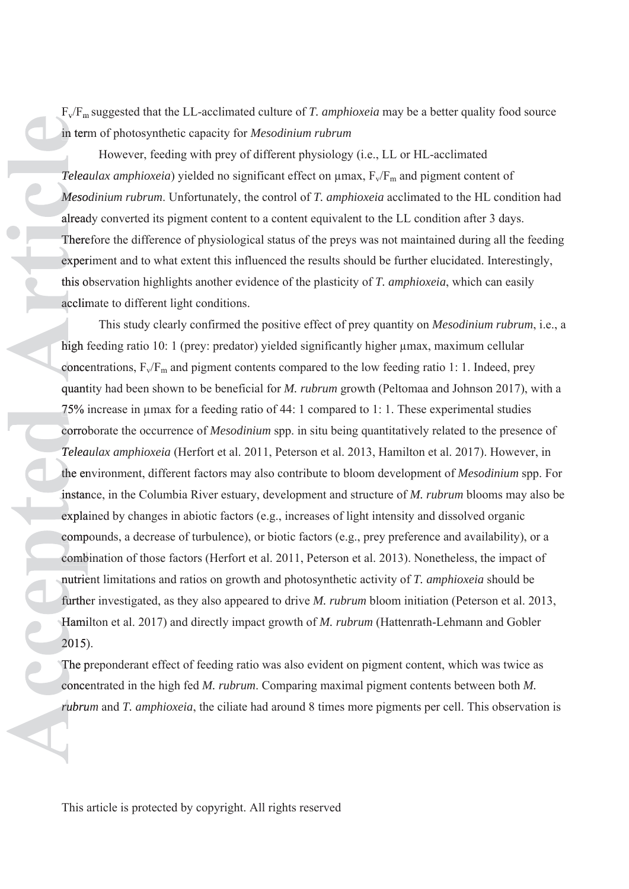$F_v/F_m$  suggested that the LL-acclimated culture of *T. amphioxeia* may be a better quality food source in term of photosynthetic capacity for *Mesodinium rubrum* 

However, feeding with prey of different physiology (i.e., LL or HL-acclimated *Teleaulax amphioxeia*) yielded no significant effect on μmax,  $F_v/F_m$  and pigment content of *Mesodinium rubrum*. Unfortunately, the control of *T. amphioxeia* acclimated to the HL condition had *Meso* already converted its pigment content to a content equivalent to the LL condition after 3 days. alread Therefore the difference of physiological status of the preys was not maintained during all the feeding There experiment and to what extent this influenced the results should be further elucidated. Interestingly, exper this observation highlights another evidence of the plasticity of *T. amphioxeia*, which can easily acclimate to different light conditions. acclim

This study clearly confirmed the positive effect of prey quantity on *Mesodinium rubrum*, i.e., a high feeding ratio 10: 1 (prey: predator) yielded significantly higher μmax, maximum cellular concentrations,  $F_v/F_m$  and pigment contents compared to the low feeding ratio 1: 1. Indeed, prey quantity had been shown to be beneficial for *M. rubrum* growth (Peltomaa and Johnson 2017), with a quant 75% increase in μmax for a feeding ratio of 44: 1 compared to 1: 1. These experimental studies 75% corroborate the occurrence of *Mesodinium* spp. in situ being quantitatively related to the presence of *Teleaulax amphioxeia* (Herfort et al. 2011, Peterson et al. 2013, Hamilton et al. 2017). However, in *Telea* the environment, different factors may also contribute to bloom development of *Mesodinium* spp. For instance, in the Columbia River estuary, development and structure of *M. rubrum* blooms may also be instan explained by changes in abiotic factors (e.g., increases of light intensity and dissolved organic compounds, a decrease of turbulence), or biotic factors (e.g., prey preference and availability), or a comp combination of those factors (Herfort et al. 2011, Peterson et al. 2013). Nonetheless, the impact of nutrient limitations and ratios on growth and photosynthetic activity of *T. amphioxeia* should be nutrie further investigated, as they also appeared to drive *M. rubrum* bloom initiation (Peterson et al. 2013, Hamilton et al. 2017) and directly impact growth of *M. rubrum* (Hattenrath-Lehmann and Gobler 2015). 2015)

The preponderant effect of feeding ratio was also evident on pigment content, which was twice as concentrated in the high fed *M. rubrum*. Comparing maximal pigment contents between both *M.*  conce *rubrum* and *T. amphioxeia*, the ciliate had around 8 times more pigments per cell. This observation is *rubru*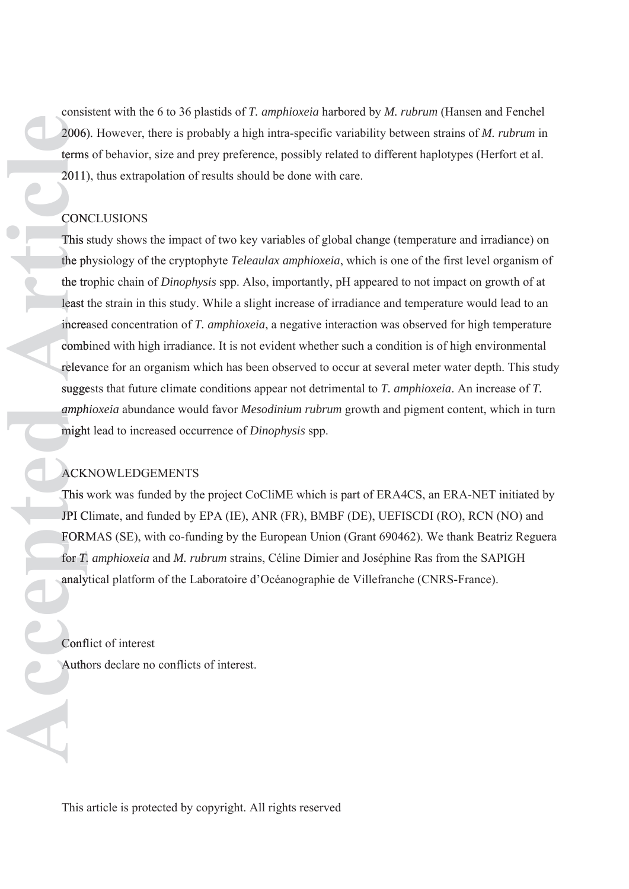consistent with the 6 to 36 plastids of *T. amphioxeia* harbored by *M. rubrum* (Hansen and Fenchel 2006)*.* However, there is probably a high intra-specific variability between strains of *M. rubrum* in terms of behavior, size and prey preference, possibly related to different haplotypes (Herfort et al. terms 2011), thus extrapolation of results should be done with care. 2011)

# **CONCLUSIONS**

This study shows the impact of two key variables of global change (temperature and irradiance) on the physiology of the cryptophyte *Teleaulax amphioxeia*, which is one of the first level organism of ph the trophic chain of *Dinophysis* spp. Also, importantly, pH appeared to not impact on growth of at tr least the strain in this study. While a slight increase of irradiance and temperature would lead to an increased concentration of *T. amphioxeia*, a negative interaction was observed for high temperature combined with high irradiance. It is not evident whether such a condition is of high environmental relevance for an organism which has been observed to occur at several meter water depth. This study suggests that future climate conditions appear not detrimental to *T. amphioxeia*. An increase of *T.*  sugge *amphioxeia* abundance would favor *Mesodinium rubrum* growth and pigment content, which in turn *amph* might lead to increased occurrence of *Dinophysis* spp. might consistent with the 6 to 36 plastids of *T*.<br>2006). However, there is probably a higherms of behavior, size and prey prefere<br>2011), thus extrapolation of results shot<br>CONCLUSIONS<br>This study shows the impact of two key<br>the

# ACKNOWLEDGEMENTS ACKN

This work was funded by the project CoCliME which is part of ERA4CS, an ERA-NET initiated by JPI Climate, and funded by EPA (IE), ANR (FR), BMBF (DE), UEFISCDI (RO), RCN (NO) and C FORMAS (SE), with co-funding by the European Union (Grant 690462). We thank Beatriz Reguera FORM for *T. amphioxeia* and *M. rubrum* strains, Céline Dimier and Joséphine Ras from the SAPIGH *T.* analytical platform of the Laboratoire d'Océanographie de Villefranche (CNRS-France). analy

Conflict of interest Confl Authors declare no conflicts of interest.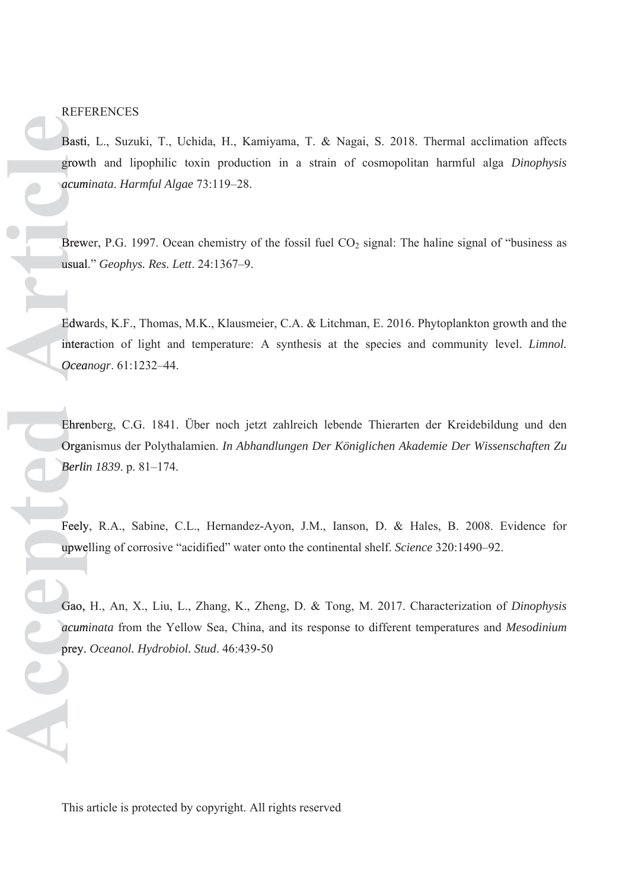REFERENCES

Basti, L., Suzuki, T., Uchida, H., Kamiyama, T. & Nagai, S. 2018. Thermal acclimation affects growth and lipophilic toxin production in a strain of cosmopolitan harmful alga *Dinophysis*  growt *acuminata*. *Harmful Algae* 73:119–28. *acum* Basti, L., Suzuki, T., Uchida, H., Kamiyarowth and lipophilic toxin production<br>accuminata. Harmful Algae 73:119–28.<br>Brewer, P.G. 1997. Ocean chemistry of the usual." *Geophys. Res. Lett.* 24:1367–9.<br>Edwards, K.F., Thomas,

Brewer, P.G. 1997. Ocean chemistry of the fossil fuel  $CO<sub>2</sub>$  signal: The haline signal of "business as usual." *Geophys. Res. Lett*. 24:1367–9. usual

Edwards, K.F., Thomas, M.K., Klausmeier, C.A. & Litchman, E. 2016. Phytoplankton growth and the interaction of light and temperature: A synthesis at the species and community level. *Limnol.*  intera *Oceanogr*. 61:1232–44. *Ocea*

Ehrenberg, C.G. 1841. Über noch jetzt zahlreich lebende Thierarten der Kreidebildung und den Ehren Organismus der Polythalamien. *In Abhandlungen Der Königlichen Akademie Der Wissenschaften Zu*  Organ *Berlin 1839*. p. 81–174. *Berlin*

Feely, R.A., Sabine, C.L., Hernandez-Ayon, J.M., Ianson, D. & Hales, B. 2008. Evidence for upwelling of corrosive "acidified" water onto the continental shelf. *Science* 320:1490–92. upwe

Gao, H., An, X., Liu, L., Zhang, K., Zheng, D. & Tong, M. 2017. Characterization of *Dinophysis*  Gao, *acuminata* from the Yellow Sea, China, and its response to different temperatures and *Mesodinium acum* prey. Oceanol. Hydrobiol. Stud. 46:439-50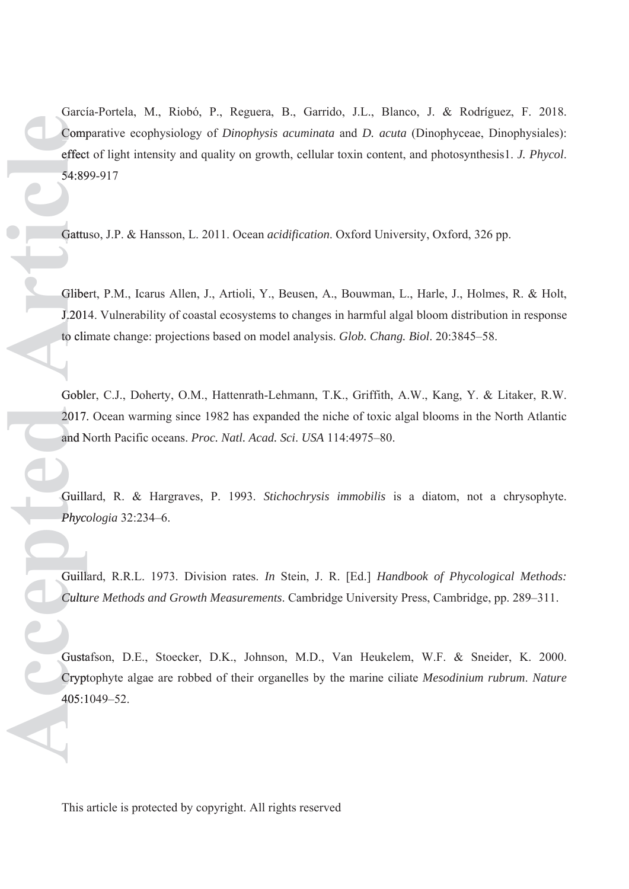García-Portela, M., Riobó, P., Reguera, B., Garrido, J.L., Blanco, J. & Rodríguez, F. 2018. Comparative ecophysiology of *Dinophysis acuminata* and *D. acuta* (Dinophyceae, Dinophysiales): Comp effect of light intensity and quality on growth, cellular toxin content, and photosynthesis1. *J. Phycol.* 54:899-917 54:89 García-Portela<br>
Comparative<br>
effect of light<br>
54:899-917<br>
Gattuso, J.P.<br>
Gattuso, J.P.<br>
Gattuso, J.P.<br>
Clibert, P.M.<br>
J.2014. Vulne<br>
to climate cha<br>
Gobler, C.J.,<br>
2017. Ocean<br>
and North Pac<br>
Guillard, R.<br>
Phycologia 3:<br>
G

Gattuso, J.P. & Hansson, L. 2011. Ocean *acidification*. Oxford University, Oxford, 326 pp.

Glibert, P.M., Icarus Allen, J., Artioli, Y., Beusen, A., Bouwman, L., Harle, J., Holmes, R. & Holt, J.2014. Vulnerability of coastal ecosystems to changes in harmful algal bloom distribution in response J.201 to climate change: projections based on model analysis. Glob. Chang. Biol. 20:3845–58.

Gobler, C.J., Doherty, O.M., Hattenrath-Lehmann, T.K., Griffith, A.W., Kang, Y. & Litaker, R.W. 2017. Ocean warming since 1982 has expanded the niche of toxic algal blooms in the North Atlantic 2017. and North Pacific oceans. *Proc. Natl. Acad. Sci*. *USA* 114:4975–80. and N

Guillard, R. & Hargraves, P. 1993. *Stichochrysis immobilis* is a diatom, not a chrysophyte. Guilla *Phycologia* 32:234–6. *Phyco*

Guillard, R.R.L. 1973. Division rates. *In* Stein, J. R. [Ed.] *Handbook of Phycological Methods:*  Guilla *Culture Methods and Growth Measurements*. Cambridge University Press, Cambridge, pp. 289–311. *Cultu*

Gustafson, D.E., Stoecker, D.K., Johnson, M.D., Van Heukelem, W.F. & Sneider, K. 2000. Cryptophyte algae are robbed of their organelles by the marine ciliate *Mesodinium rubrum*. *Nature* Crypt 405:1049-52.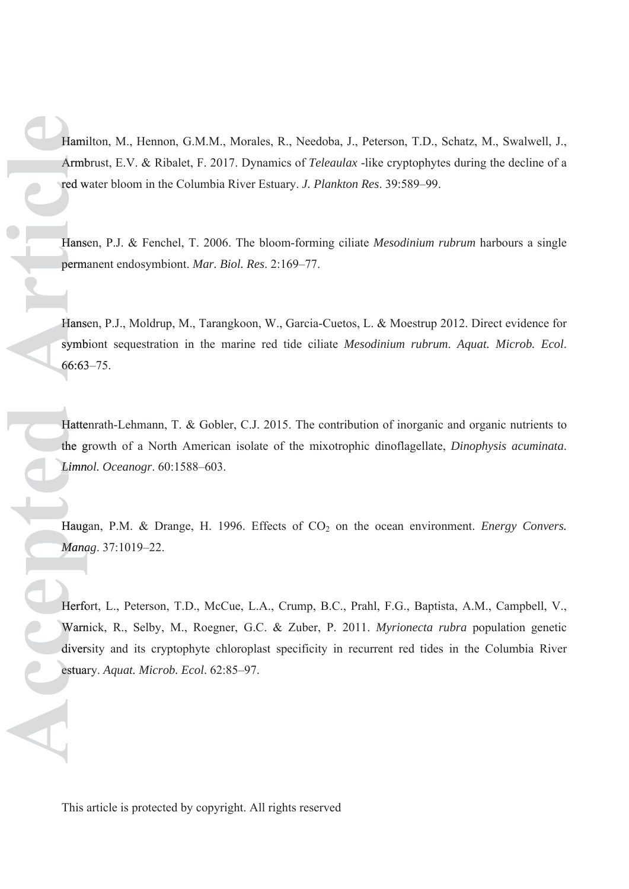Hamilton, M., Hennon, G.M.M., Morales, R., Needoba, J., Peterson, T.D., Schatz, M., Swalwell, J., Armbrust, E.V. & Ribalet, F. 2017. Dynamics of *Teleaulax* -like cryptophytes during the decline of a Armb red water bloom in the Columbia River Estuary. *J. Plankton Res*. 39:589–99. w

Hansen, P.J. & Fenchel, T. 2006. The bloom-forming ciliate *Mesodinium rubrum* harbours a single Hanse permanent endosymbiont. *Mar. Biol. Res*. 2:169–77. perma

Hansen, P.J., Moldrup, M., Tarangkoon, W., Garcia-Cuetos, L. & Moestrup 2012. Direct evidence for symbiont sequestration in the marine red tide ciliate *Mesodinium rubrum*. *Aquat. Microb. Ecol*. symb 66:63–75. 66:63

Hattenrath-Lehmann, T. & Gobler, C.J. 2015. The contribution of inorganic and organic nutrients to the growth of a North American isolate of the mixotrophic dinoflagellate, *Dinophysis acuminata*. g *Limnol. Oceanogr*. 60:1588–603. *Limno*

Haugan, P.M. & Drange, H. 1996. Effects of CO<sub>2</sub> on the ocean environment. *Energy Convers*. *Manag*. 37:1019–22. *Mana*

Herfort, L., Peterson, T.D., McCue, L.A., Crump, B.C., Prahl, F.G., Baptista, A.M., Campbell, V., Warnick, R., Selby, M., Roegner, G.C. & Zuber, P. 2011. *Myrionecta rubra* population genetic Warn diversity and its cryptophyte chloroplast specificity in recurrent red tides in the Columbia River Hamilton, M., Hennon, G.M.M., Moral<br>
Armbrust, E.V. & Ribalet, F. 2017. Dyr<br>
red water bloom in the Columbia River<br>
Hansen, P.J. & Fenchel, T. 2006. The<br>
Hansen, P.J. & Fenchel, T. 2006. The<br>
Hansen, P.J., Moldrup, M., Tar estuary. Aquat. Microb. Ecol. 62:85-97.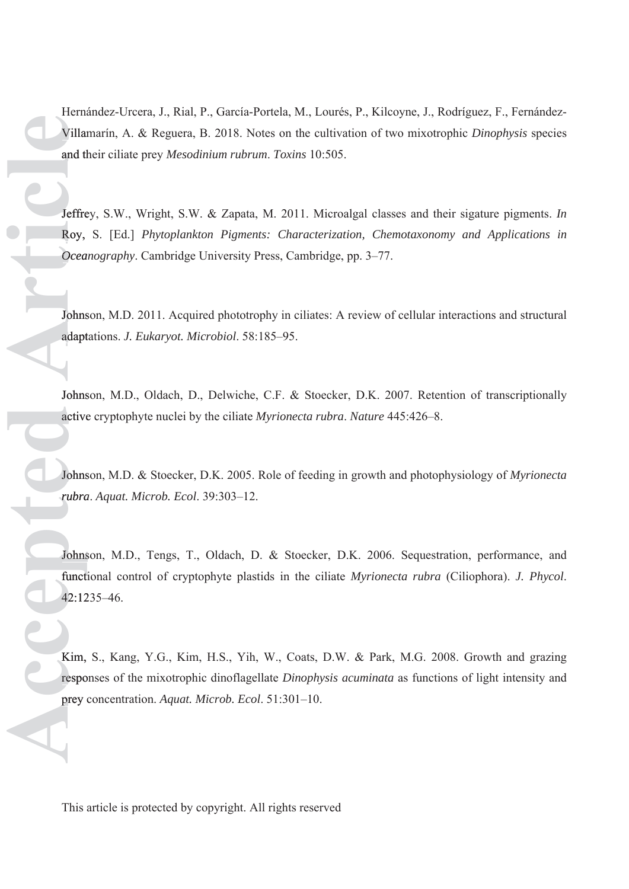Hernández-Urcera, J., Rial, P., García-Portela, M., Lourés, P., Kilcoyne, J., Rodríguez, F., Fernández-Villamarín, A. & Reguera, B. 2018. Notes on the cultivation of two mixotrophic *Dinophysis* species Villam and their ciliate prey *Mesodinium rubrum*. *Toxins* 10:505. th

Jeffrey, S.W., Wright, S.W. & Zapata, M. 2011. Microalgal classes and their sigature pigments. *In* Jeffre Roy, S. [Ed.] *Phytoplankton Pigments: Characterization, Chemotaxonomy and Applications in*  Roy, *Oceanography*. Cambridge University Press, Cambridge, pp. 3–77. *Ocea* Hernández-Ureera, J., Rial, P., Garcia-Portela, M., I.<br>
Villamarin, A. & Reguera, B. 2018. Notes on the example from the contration of their ciliate prey *Mesodinium rubrum. Toxins* 10<br>
Jeffrey, S.W., Wright, S.W. & Zapata

Johnson, M.D. 2011. Acquired phototrophy in ciliates: A review of cellular interactions and structural adaptations. *J. Eukaryot. Microbiol*. 58:185–95. adapt

Johnson, M.D., Oldach, D., Delwiche, C.F. & Stoecker, D.K. 2007. Retention of transcriptionally active cryptophyte nuclei by the ciliate *Myrionecta rubra*. *Nature* 445:426–8. active

Johnson, M.D. & Stoecker, D.K. 2005. Role of feeding in growth and photophysiology of *Myrionecta*  Johns *rubra*. *Aquat. Microb. Ecol*. 39:303–12.

Johnson, M.D., Tengs, T., Oldach, D. & Stoecker, D.K. 2006. Sequestration, performance, and functional control of cryptophyte plastids in the ciliate *Myrionecta rubra* (Ciliophora). *J. Phycol*. functi 42:1235–46. 42:12

Kim, S., Kang, Y.G., Kim, H.S., Yih, W., Coats, D.W. & Park, M.G. 2008. Growth and grazing responses of the mixotrophic dinoflagellate *Dinophysis acuminata* as functions of light intensity and prey concentration. Aquat. Microb. Ecol. 51:301-10.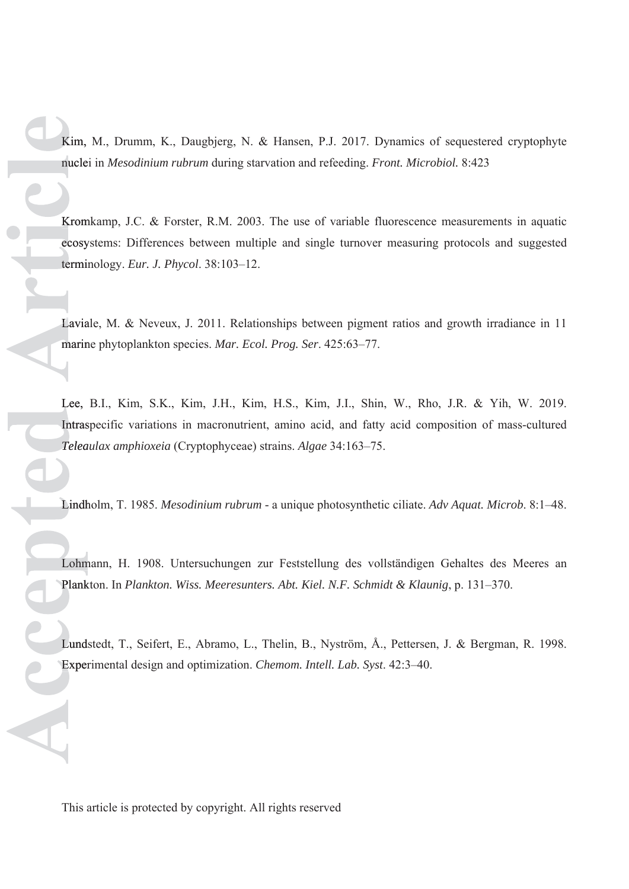Kim, M., Drumm, K., Daugbjerg, N. & Hansen, P.J. 2017. Dynamics of sequestered cryptophyte nuclei in *Mesodinium rubrum* during starvation and refeeding. *Front. Microbiol.* 8:423 nucle

Kromkamp, J.C. & Forster, R.M. 2003. The use of variable fluorescence measurements in aquatic Krom ecosystems: Differences between multiple and single turnover measuring protocols and suggested terminology. *Eur. J. Phycol*. 38:103–12. termi

Laviale, M. & Neveux, J. 2011. Relationships between pigment ratios and growth irradiance in 11 marine phytoplankton species. *Mar. Ecol. Prog. Ser*. 425:63–77. marin

Lee, B.I., Kim, S.K., Kim, J.H., Kim, H.S., Kim, J.I., Shin, W., Rho, J.R. & Yih, W. 2019. Lee, Intraspecific variations in macronutrient, amino acid, and fatty acid composition of mass-cultured Intras *Teleaulax amphioxeia* (Cryptophyceae) strains. *Algae* 34:163–75. *Telea*

Lindholm, T. 1985. *Mesodinium rubrum* - a unique photosynthetic ciliate. *Adv Aquat. Microb*. 8:1–48. Lindh

Lohmann, H. 1908. Untersuchungen zur Feststellung des vollständigen Gehaltes des Meeres an Lohm Plankton. In *Plankton. Wiss. Meeresunters. Abt. Kiel. N.F. Schmidt & Klaunig*, p. 131–370. Plank

Lundstedt, T., Seifert, E., Abramo, L., Thelin, B., Nyström, Å., Pettersen, J. & Bergman, R. 1998. Lund Experimental design and optimization. *Chemom. Intell. Lab. Syst*. 42:3–40. Exper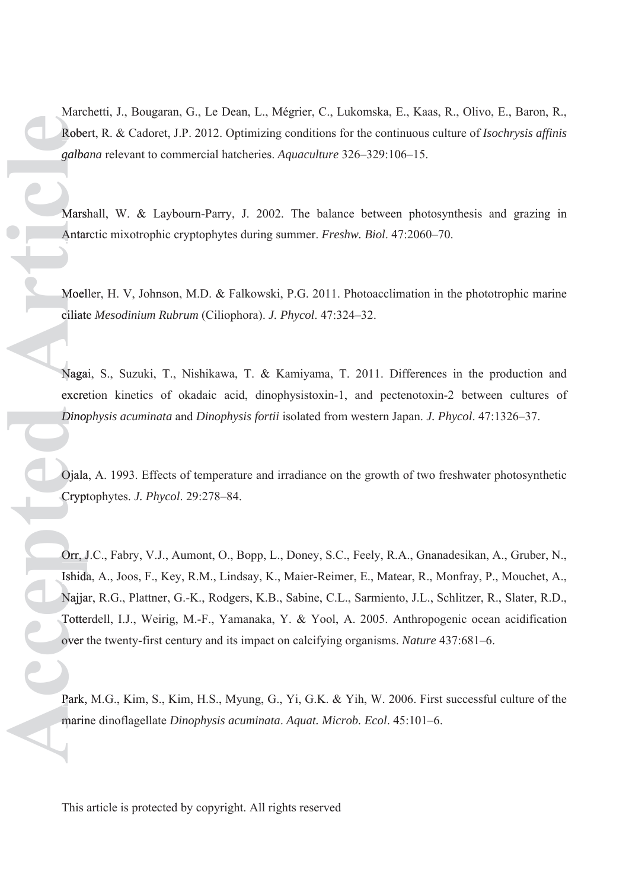Marchetti, J., Bougaran, G., Le Dean, L., Mégrier, C., Lukomska, E., Kaas, R., Olivo, E., Baron, R., Robert, R. & Cadoret, J.P. 2012. Optimizing conditions for the continuous culture of *Isochrysis affinis*  Robe *galbana* relevant to commercial hatcheries. *Aquaculture* 326–329:106–15. *galba*

Marshall, W. & Laybourn-Parry, J. 2002. The balance between photosynthesis and grazing in Antarctic mixotrophic cryptophytes during summer. *Freshw. Biol*. 47:2060–70. Antar

Moeller, H. V, Johnson, M.D. & Falkowski, P.G. 2011. Photoacclimation in the phototrophic marine ciliate *Mesodinium Rubrum* (Ciliophora). *J. Phycol*. 47:324–32. ciliate

Nagai, S., Suzuki, T., Nishikawa, T. & Kamiyama, T. 2011. Differences in the production and excretion kinetics of okadaic acid, dinophysistoxin-1, and pectenotoxin-2 between cultures of *Dinophysis acuminata* and *Dinophysis fortii* isolated from western Japan. *J. Phycol*. 47:1326–37. *Dinop*

Ojala, A. 1993. Effects of temperature and irradiance on the growth of two freshwater photosynthetic Ojala Cryptophytes. *J. Phycol*. 29:278–84. Crypt

Orr, J.C., Fabry, V.J., Aumont, O., Bopp, L., Doney, S.C., Feely, R.A., Gnanadesikan, A., Gruber, N., Orr, J Ishida, A., Joos, F., Key, R.M., Lindsay, K., Maier-Reimer, E., Matear, R., Monfray, P., Mouchet, A., Ishida Najjar, R.G., Plattner, G.-K., Rodgers, K.B., Sabine, C.L., Sarmiento, J.L., Schlitzer, R., Slater, R.D., Najja Totterdell, I.J., Weirig, M.-F., Yamanaka, Y. & Yool, A. 2005. Anthropogenic ocean acidification Totte over the twenty-first century and its impact on calcifying organisms. *Nature* 437:681–6. Marchetti, J., Bougaran, G., Le Dean, L., Mégricr, C., Lukomska, E., Kaas, Robert, R. & Cadoret, J.P., 2012. Optimizing conditions for the continuous conditions relevant to commercial hatcheries. *Aquaculture* 326-329:106-

Park, M.G., Kim, S., Kim, H.S., Myung, G., Yi, G.K. & Yih, W. 2006. First successful culture of the marine dinoflagellate Dinophysis acuminata. Aquat. Microb. Ecol. 45:101-6.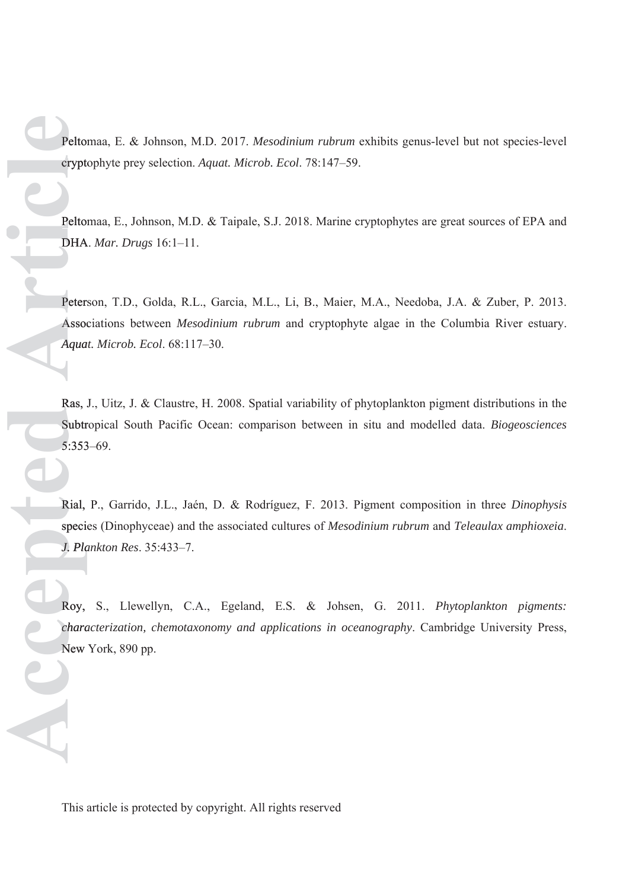Peltomaa, E. & Johnson, M.D. 2017. *Mesodinium rubrum* exhibits genus-level but not species-level cryptophyte prey selection. *Aquat. Microb. Ecol*. 78:147–59. crypto

Peltomaa, E., Johnson, M.D. & Taipale, S.J. 2018. Marine cryptophytes are great sources of EPA and DHA. *Mar. Drugs* 16:1–11. DHA

Peterson, T.D., Golda, R.L., Garcia, M.L., Li, B., Maier, M.A., Needoba, J.A. & Zuber, P. 2013. Associations between *Mesodinium rubrum* and cryptophyte algae in the Columbia River estuary. Assoc *Aquat. Microb. Ecol*. 68:117–30. *Aqua* Peltomaa, E. & Jol<br>
eryptophyte prey se<br>
Peltomaa, E., John:<br>
DHA. *Mar. Drugs*<br>
Peterson, T.D., Gc<br>
Associations between<br>
Aquat. Microb. Ecc<br>
Ras, J., Uitz, J. & C<br>
Subtropical South<br>
5:353–69.<br>
Rial, P., Garrido,<br>
specie

Ras, J., Uitz, J. & Claustre, H. 2008. Spatial variability of phytoplankton pigment distributions in the Subtropical South Pacific Ocean: comparison between in situ and modelled data. *Biogeosciences* Subtr 5:353–69. 5:353

Rial, P., Garrido, J.L., Jaén, D. & Rodríguez, F. 2013. Pigment composition in three *Dinophysis* Rial, species (Dinophyceae) and the associated cultures of *Mesodinium rubrum* and *Teleaulax amphioxeia*. specie *J. Plankton Res*. 35:433–7. *Pla*

Roy, S., Llewellyn, C.A., Egeland, E.S. & Johsen, G. 2011. *Phytoplankton pigments:*  Roy, *characterization, chemotaxonomy and applications in oceanography*. Cambridge University Press, *chara* New York, 890 pp.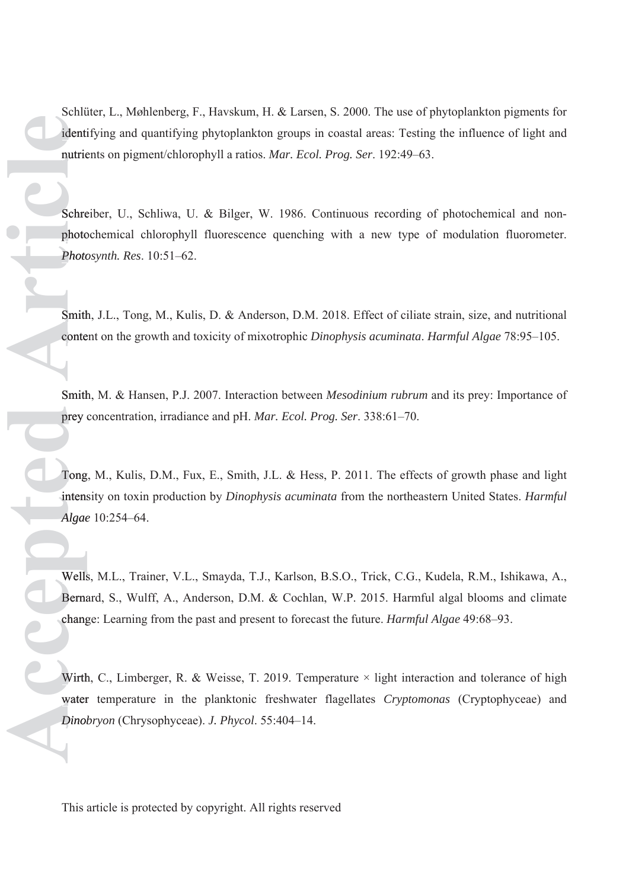Schlüter, L., Møhlenberg, F., Havskum, H. & Larsen, S. 2000. The use of phytoplankton pigments for identifying and quantifying phytoplankton groups in coastal areas: Testing the influence of light and nutrients on pigment/chlorophyll a ratios. *Mar. Ecol. Prog. Ser*. 192:49–63. nutrie

Schreiber, U., Schliwa, U. & Bilger, W. 1986. Continuous recording of photochemical and nonphotochemical chlorophyll fluorescence quenching with a new type of modulation fluorometer. photo *Photosynth. Res*. 10:51–62. *Photo*

Smith, J.L., Tong, M., Kulis, D. & Anderson, D.M. 2018. Effect of ciliate strain, size, and nutritional content on the growth and toxicity of mixotrophic *Dinophysis acuminata*. *Harmful Algae* 78:95–105. conte

Smith, M. & Hansen, P.J. 2007. Interaction between *Mesodinium rubrum* and its prey: Importance of prey concentration, irradiance and pH. *Mar. Ecol. Prog. Ser*. 338:61–70. preyc

Tong, M., Kulis, D.M., Fux, E., Smith, J.L. & Hess, P. 2011. The effects of growth phase and light intensity on toxin production by *Dinophysis acuminata* from the northeastern United States. *Harmful*  intens *Algae* 10:254–64. *Schlüter, L.*, *Møhlenberg, F.*, *Havskum, H. & 1 arst identifying and quantifying phytoplankton groups nutrients on pigment/chlorophyll a ratios. <i>Mar. Eco*<br>Schreiber, U., Schliwa, U. & Bilger, W. 1986. Cphotochemical ch

Wells, M.L., Trainer, V.L., Smayda, T.J., Karlson, B.S.O., Trick, C.G., Kudela, R.M., Ishikawa, A., Wells Bernard, S., Wulff, A., Anderson, D.M. & Cochlan, W.P. 2015. Harmful algal blooms and climate change: Learning from the past and present to forecast the future. *Harmful Algae* 49:68–93. chang

Wirth, C., Limberger, R. & Weisse, T. 2019. Temperature  $\times$  light interaction and tolerance of high water temperature in the planktonic freshwater flagellates *Cryptomonas* (Cryptophyceae) and water Dinobryon (Chrysophyceae). J. Phycol. 55:404-14.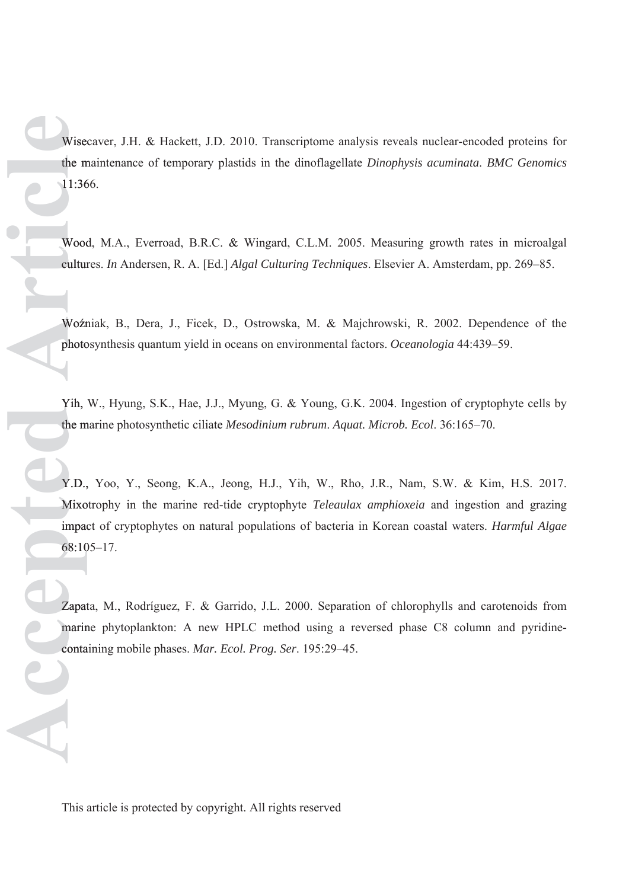Wisecaver, J.H. & Hackett, J.D. 2010. Transcriptome analysis reveals nuclear-encoded proteins for the maintenance of temporary plastids in the dinoflagellate *Dinophysis acuminata*. *BMC Genomics* m 11:366. 11:36

Wood, M.A., Everroad, B.R.C. & Wingard, C.L.M. 2005. Measuring growth rates in microalgal cultures. *In* Andersen, R. A. [Ed.] *Algal Culturing Techniques*. Elsevier A. Amsterdam, pp. 269–85. cultur

Woźniak, B., Dera, J., Ficek, D., Ostrowska, M. & Majchrowski, R. 2002. Dependence of the photosynthesis quantum yield in oceans on environmental factors. *Oceanologia* 44:439–59. photo

Yih, W., Hyung, S.K., Hae, J.J., Myung, G. & Young, G.K. 2004. Ingestion of cryptophyte cells by the marine photosynthetic ciliate *Mesodinium rubrum*. *Aquat. Microb. Ecol*. 36:165–70. m

Y.D., Yoo, Y., Seong, K.A., Jeong, H.J., Yih, W., Rho, J.R., Nam, S.W. & Kim, H.S. 2017. Y.D., Mixotrophy in the marine red-tide cryptophyte *Teleaulax amphioxeia* and ingestion and grazing Mixo impact of cryptophytes on natural populations of bacteria in Korean coastal waters. *Harmful Algae* impac 68:105–17. 68:10 Wisecaver, J.H. & Hackett, J.D. 2010. Transcriptome ana<br>the maintenance of temporary plastids in the dinolfagellat<br>11:366.<br>Wood, M.A., Everroad, B.R.C. & Wingard, C.L.M. 200<br>eultures. *In* Andersen, R. A. [Fd.] *Algal Cult* 

Zapata, M., Rodríguez, F. & Garrido, J.L. 2000. Separation of chlorophylls and carotenoids from marine phytoplankton: A new HPLC method using a reversed phase C8 column and pyridine-marin containing mobile phases. Mar. Ecol. Prog. Ser. 195:29-45.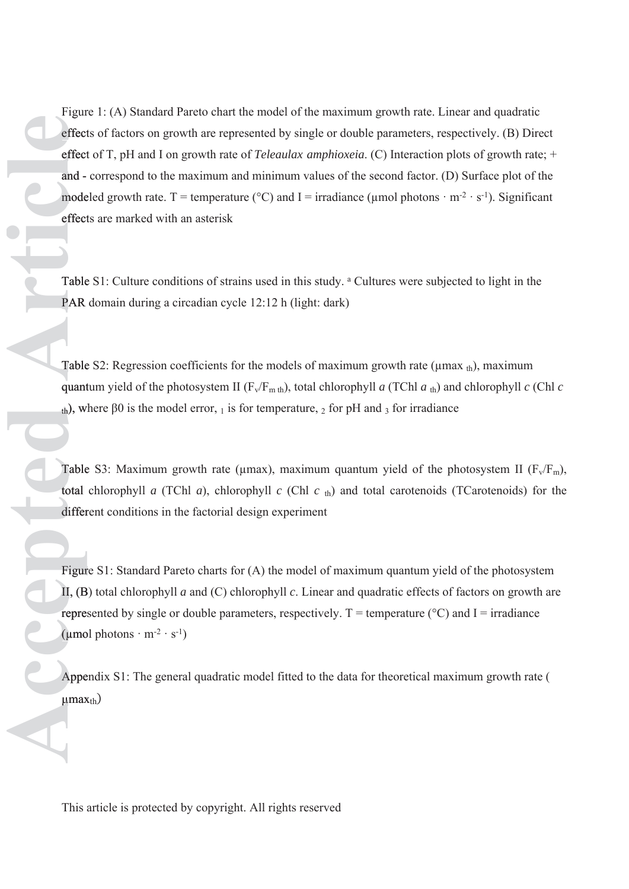Figure 1: (A) Standard Pareto chart the model of the maximum growth rate. Linear and quadratic effects of factors on growth are represented by single or double parameters, respectively. (B) Direct effect of T, pH and I on growth rate of *Teleaulax amphioxeia*. (C) Interaction plots of growth rate; + and - correspond to the maximum and minimum values of the second factor. (D) Surface plot of the modeled growth rate. T = temperature (°C) and I = irradiance (µmol photons · m<sup>-2</sup> · s<sup>-1</sup>). Significant effects are marked with an asterisk effect Figure 1<br>
effects c<br>
effects c<br>
and - co<br>
modelec<br>
effects a<br>
Table S<br>
Table S<br>
Quantum<br>
th), wher<br>
Table S<br>
total ch<br>
differen<br>
Figure S<br>
L, (B) to<br>
represen<br>
(µmol p<br>
Append<br>
µmaxt<sub>th</sub>)

Table S1: Culture conditions of strains used in this study. <sup>a</sup> Cultures were subjected to light in the PAR domain during a circadian cycle 12:12 h (light: dark)

Table S2: Regression coefficients for the models of maximum growth rate ( $\mu$ max  $_{\text{th}}$ ), maximum quantum yield of the photosystem II ( $F_v/F_{m\text{ th}}$ ), total chlorophyll *a* (TChl *a*<sub>th</sub>) and chlorophyll *c* (Chl *c*  $_{\text{th}}$ ), where β0 is the model error, <sub>1</sub> is for temperature, <sub>2</sub> for pH and <sub>3</sub> for irradiance

Table S3: Maximum growth rate ( $\mu$ max), maximum quantum yield of the photosystem II ( $F_v/F_m$ ), total chlorophyll *a* (TChl *a*), chlorophyll *c* (Chl *c* th) and total carotenoids (TCarotenoids) for the different conditions in the factorial design experiment

Figure S1: Standard Pareto charts for (A) the model of maximum quantum yield of the photosystem II,  $(B)$  total chlorophyll *a* and  $(C)$  chlorophyll *c*. Linear and quadratic effects of factors on growth are represented by single or double parameters, respectively.  $T =$  temperature ( ${}^{\circ}C$ ) and I = irradiance  $(\mu \text{mol photons} \cdot \text{m}^{-2} \cdot \text{s}^{-1})$ 

Appendix S1: The general quadratic model fitted to the data for theoretical maximum growth rate ( Appe  $\mu$ max<sub>th</sub>)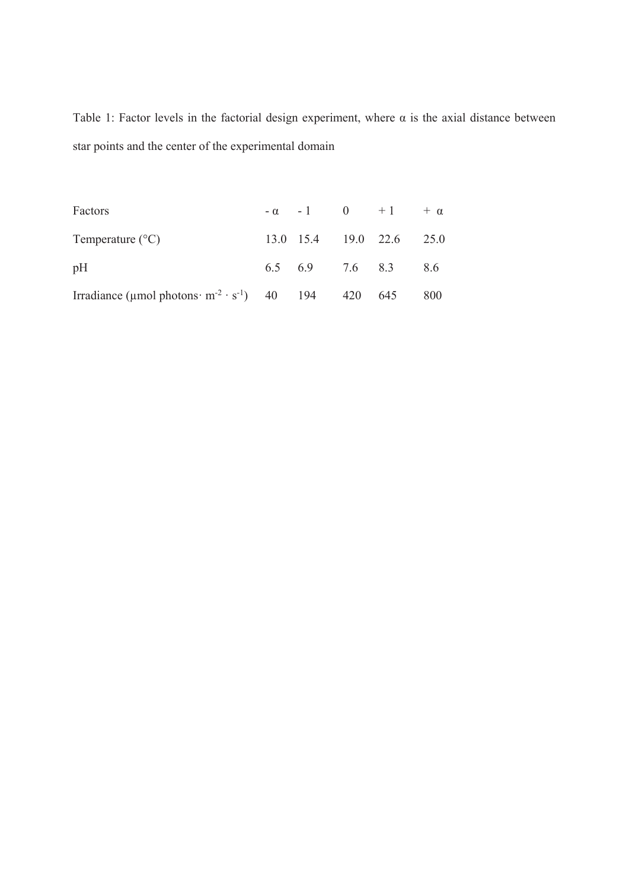Table 1: Factor levels in the factorial design experiment, where  $\alpha$  is the axial distance between star points and the center of the experimental domain

| Factors                                                             |  | $-\alpha$ $-1$ 0 $+1$ $+\alpha$ |  |
|---------------------------------------------------------------------|--|---------------------------------|--|
| Temperature $(^{\circ}C)$                                           |  | 13.0 15.4 19.0 22.6 25.0        |  |
| pH                                                                  |  | 6.5 6.9 7.6 8.3 8.6             |  |
| Irradiance (umol photons $m^{-2} \cdot s^{-1}$ ) 40 194 420 645 800 |  |                                 |  |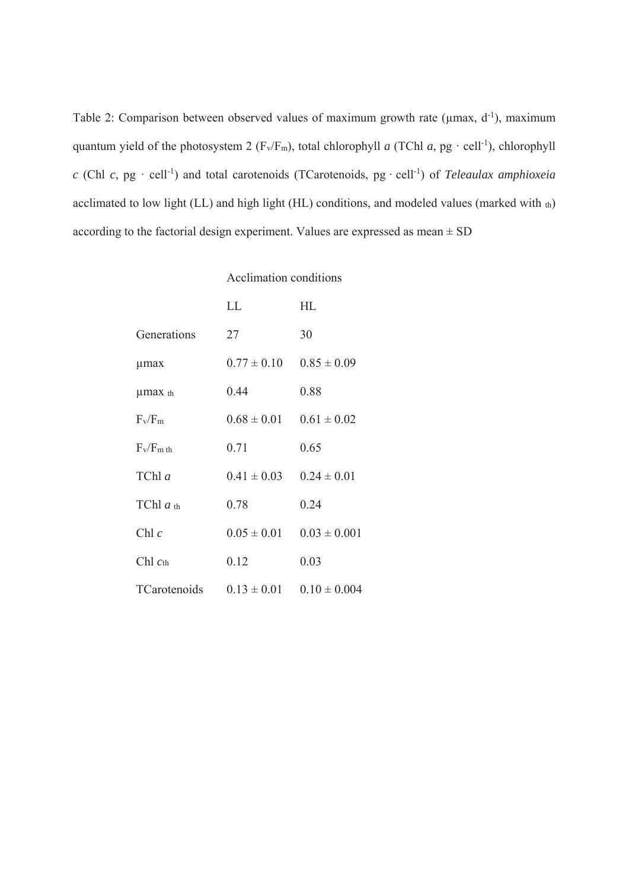Table 2: Comparison between observed values of maximum growth rate ( $\mu$ max, d<sup>-1</sup>), maximum quantum yield of the photosystem 2 ( $F_v/F_m$ ), total chlorophyll *a* (TChl *a*, pg · cell<sup>-1</sup>), chlorophyll *c* (Chl *c*, pg · cell<sup>-1</sup>) and total carotenoids (TCarotenoids, pg · cell<sup>-1</sup>) of *Teleaulax amphioxeia* acclimated to low light (LL) and high light (HL) conditions, and modeled values (marked with th) according to the factorial design experiment. Values are expressed as mean  $\pm$  SD

### Acclimation conditions

|                      | LL              | HL               |
|----------------------|-----------------|------------------|
| Generations          | 27              | 30               |
| umax                 | $0.77 \pm 0.10$ | $0.85 \pm 0.09$  |
| µmax th              | 0.44            | 0.88             |
| $F_v/F_m$            | $0.68 \pm 0.01$ | $0.61 \pm 0.02$  |
| $F_v/F_m$ th         | 0.71            | 0.65             |
| TChl a               | $0.41 \pm 0.03$ | $0.24 \pm 0.01$  |
| TChl $a_{\text{th}}$ | 0.78            | 0.24             |
| Chl $c$              | $0.05 \pm 0.01$ | $0.03 \pm 0.001$ |
| Chl $cth$            | 0.12            | 0.03             |
| TCarotenoids         | $0.13 \pm 0.01$ | $0.10 \pm 0.004$ |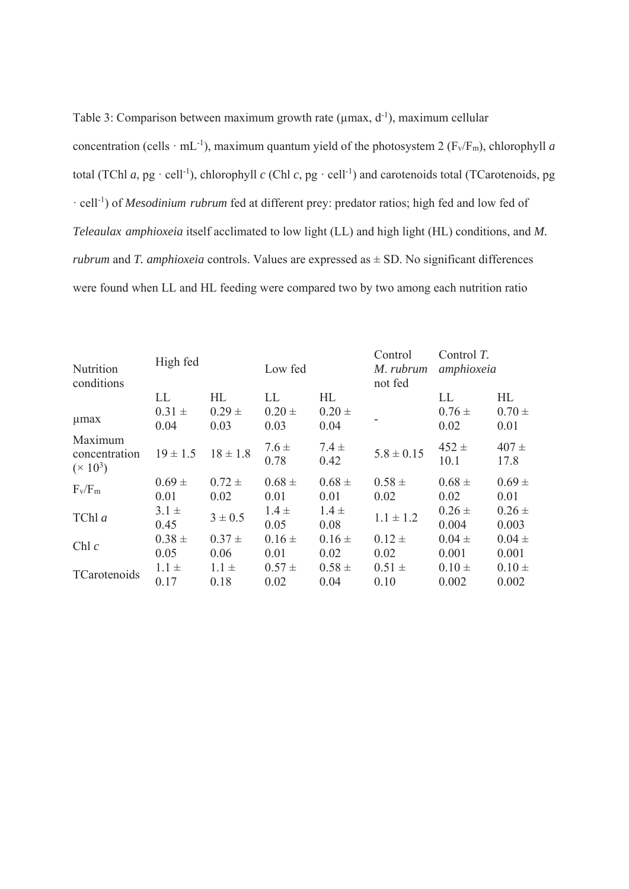Table 3: Comparison between maximum growth rate ( $\mu$ max, d<sup>-1</sup>), maximum cellular concentration (cells  $\cdot$  mL<sup>-1</sup>), maximum quantum yield of the photosystem 2 (F<sub>v</sub>/F<sub>m</sub>), chlorophyll *a* total (TChl *a*, pg · cell<sup>-1</sup>), chlorophyll *c* (Chl *c*, pg · cell<sup>-1</sup>) and carotenoids total (TCarotenoids, pg · cell-1) of *Mesodinium rubrum* fed at different prey: predator ratios; high fed and low fed of *Teleaulax amphioxeia* itself acclimated to low light (LL) and high light (HL) conditions, and *M. rubrum* and *T. amphioxeia* controls. Values are expressed as ± SD. No significant differences were found when LL and HL feeding were compared two by two among each nutrition ratio

| Nutrition<br>conditions                | High fed                 |                          | Low fed                  |                          | Control<br>M. rubrum<br>not fed | Control $T$ .<br>amphioxeia |                          |
|----------------------------------------|--------------------------|--------------------------|--------------------------|--------------------------|---------------------------------|-----------------------------|--------------------------|
| umax                                   | LL<br>$0.31 \pm$<br>0.04 | HL<br>$0.29 \pm$<br>0.03 | LL<br>$0.20 \pm$<br>0.03 | HL<br>$0.20 \pm$<br>0.04 |                                 | LL<br>$0.76 \pm$<br>0.02    | HL<br>$0.70 \pm$<br>0.01 |
| Maximum<br>concentration<br>$(x 10^3)$ | $19 \pm 1.5$             | $18 \pm 1.8$             | $7.6 \pm$<br>0.78        | $7.4 \pm$<br>0.42        | $5.8 \pm 0.15$                  | $452 \pm$<br>10.1           | $407 +$<br>17.8          |
| $F_v/F_m$                              | $0.69 \pm$<br>0.01       | $0.72 \pm$<br>0.02       | $0.68 \pm$<br>0.01       | $0.68 \pm$<br>0.01       | $0.58 \pm$<br>0.02              | $0.68 \pm$<br>0.02          | $0.69 +$<br>0.01         |
| TChl a                                 | $3.1 \pm$<br>0.45        | $3 \pm 0.5$              | $1.4 \pm$<br>0.05        | $1.4 \pm$<br>0.08        | $1.1 \pm 1.2$                   | $0.26 \pm$<br>0.004         | $0.26 \pm$<br>0.003      |
| Chl $c$                                | $0.38 \pm$<br>0.05       | $0.37 \pm$<br>0.06       | $0.16 \pm$<br>0.01       | $0.16 \pm$<br>0.02       | $0.12 \pm$<br>0.02              | $0.04 \pm$<br>0.001         | $0.04 \pm$<br>0.001      |
| TCarotenoids                           | $1.1 \pm$<br>0.17        | $1.1 \pm$<br>0.18        | $0.57 \pm$<br>0.02       | $0.58 \pm$<br>0.04       | $0.51 \pm$<br>0.10              | $0.10 \pm$<br>0.002         | $0.10 \pm$<br>0.002      |